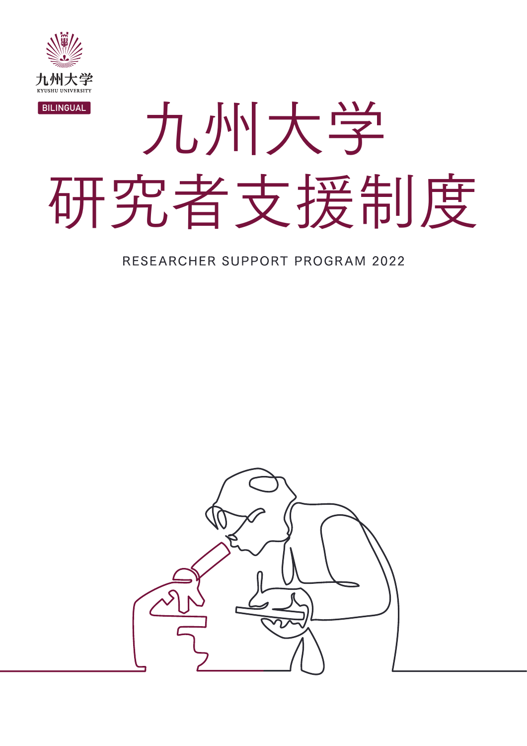

# 九州大学 研究者支援制度 BILINGUAL

#### RESEARCHER SUPPORT PROGRAM 2022

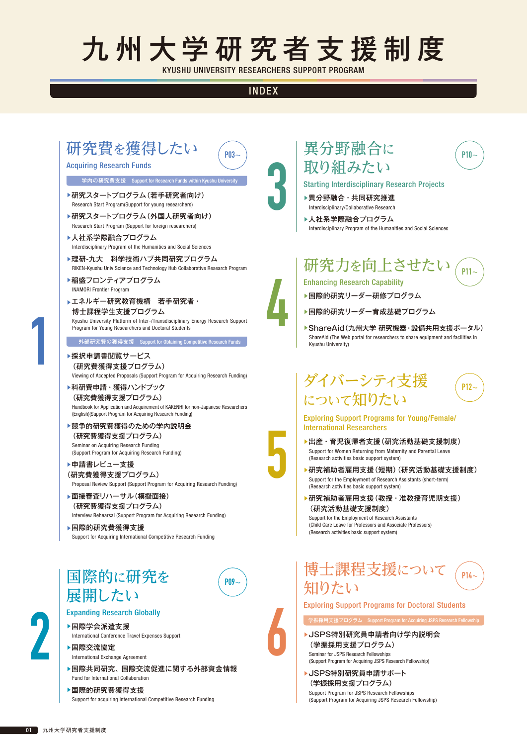# 九州大学研究者支援制度

KYUSHU UNIVERSITY RESEARCHERS SUPPORT PROGRAM

#### INDEX

 $PM3~$ 

3

4

5

6

#### 研究費を獲得したい

#### Acquiring Research Funds

#### 学内の研究費支援 Support for Research Funds within Kyushu Univ

- ▶研究スタートプログラム(若手研究者向け) Research Start Program(Support for young researchers)
- ▶研究スタートプログラム(外国人研究者向け) Research Start Program (Support for foreign researchers)
- ▶人社系学際融合プログラム Interdisciplinary Program of the Humanities and Social Sciences
- ▶理研-九大 科学技術ハブ共同研究プログラム RIKEN-Kyushu Univ Science and Technology Hub Collaborative Research Program
- ▶稲盛フロンティアプログラム INAMORI Frontier Program
- ▶エネルギー研究教育機構 若手研究者・ 博士課程学生支援プログラム Kyushu University Platform of Inter-/Transdisciplinary Energy Research Support Program for Young Researchers and Doctoral Students

■ 外部研究費の獲得支援 Support for Obtaining Competitive Research Funds

- ▶採択申請書閲覧サービス (研究費獲得支援プログラム) Viewing of Accepted Proposals (Support Program for Acquiring Research Funding)
- ▶科研費申請・獲得ハンドブック (研究費獲得支援プログラム) Handbook for Application and Acquirement of KAKENHI for non-Japanese Researchers (English)(Support Program for Acquiring Research Funding)
- ▶競争的研究費獲得のための学内説明会 (研究費獲得支援プログラム) Seminar on Acquiring Research Funding (Support Program for Acquiring Research Funding)
- ▶申請書レビュー支援 (研究費獲得支援プログラム) Proposal Review Support (Support Program for Acquiring Research Funding)
- ▶面接審査リハーサル(模擬面接) (研究費獲得支援プログラム) Interview Rehearsal (Support Program for Acquiring Research Funding)
- ▶国際的研究費獲得支援 Support for Acquiring International Competitive Research Funding

#### 国際的に研究を 展開したい



#### Expanding Research Globally

- ▶国際学会派遣支援 International Conference Travel Expenses Support
- ▲国際交流協定 International Exchange Agreement
- ▶国際共同研究、国際交流促進に関する外部資金情報 Fund for International Collaboration
- ▲国際的研究費獲得支援 Support for acquiring International Competitive Research Funding

#### 異分野融合に 取り組みたい

Starting Interdisciplinary Research Projects

▶異分野融合・共同研究推進 Interdisciplinary/Collaborative Research

▶人社系学際融合プログラム Interdisciplinary Program of the Humanities and Social Sciences

#### 研究力を向上させたい P11〜

 $P10\sim$ 

P12〜

Enhancing Research Capability

- ▶国際的研究リーダー研修プログラム
- ▶国際的研究リーダー育成基礎プログラム
- ▶ ShareAid(九州大学 研究機器・設備共用支援ポータル) ShareAid (The Web portal for researchers to share equipment and facilities in Kyushu University)

#### ダイバーシティ支援 について知りたい

#### Exploring Support Programs for Young/Female/ International Researchers

- ▶出産・育児復帰者支援(研究活動基礎支援制度) Support for Women Returning from Maternity and Parental Leave (Research activities basic support system)
- ▲研究補助者雇用支援(短期)(研究活動基礎支援制度) Support for the Employment of Research Assistants (short-term) (Research activities basic support system)
- ▶研究補助者雇用支援(教授・准教授育児期支援) (研究活動基礎支援制度)

Support for the Employment of Research Assistants (Child Care Leave for Professors and Associate Professors) (Research activities basic support system)

#### 博士課程支援について 知りたい  $P14\sim$

Exploring Support Programs for Doctoral Students

▶JSPS特別研究員申請者向け学内説明会 (学振採用支援プログラム) Seminar for JSPS Research Fellowships

。<br>最採用支援プログラム Support Program f

- (Support Program for Acquiring JSPS Research Fellowship)
- ▶JSPS特別研究員申請サポート (学振採用支援プログラム)

Support Program for JSPS Research Fellowships (Support Program for Acquiring JSPS Research Fellowship)



1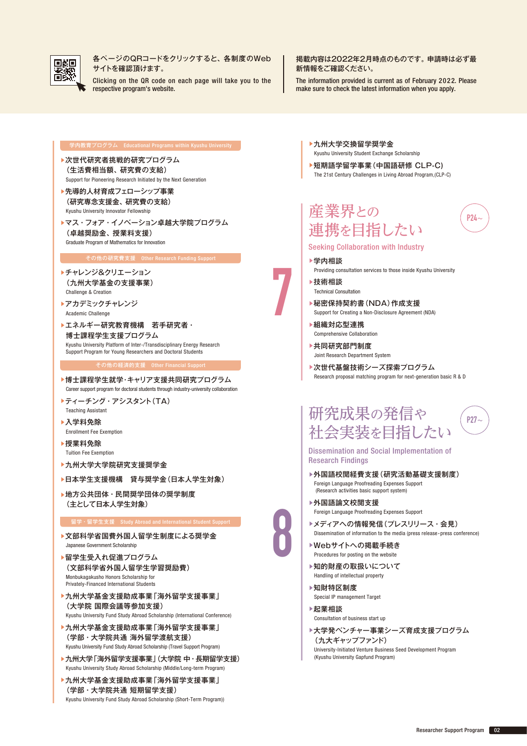

各ページのQRコードをクリックすると、各制度のWeb サイトを確認頂けます。

Clicking on the QR code on each page will take you to the respective program's website.

掲載内容は2022年2月時点のものです。申請時は必ず最 新情報をご確認ください。

The information provided is current as of February 2022. Please make sure to check the latest information when you apply.

- ▶次世代研究者挑戦的研究プログラム (生活費相当額、研究費の支給) Support for Pioneering Research Initiated by the Next Generation
- ▶先導的人材育成フェローシップ事業 (研究専念支援金、研究費の支給) Kyushu University Innovator Fellowship
- ▶マス・フォア・イノベーション卓越大学院プログラム (卓越奨励金、授業料支援) Graduate Program of Mathematics for Innovation

#### その他の研究費支援 Other Research Funding Support

- ▲チャレンジ&クリエーション (九州大学基金の支援事業) Challenge & Creation
- ▲アカデミックチャレンジ Academic Challenge
- ▶エネルギー研究教育機構 若手研究者· 博士課程学生支援プログラム Kyushu University Platform of Inter-/Transdisciplinary Energy Research Support Program for Young Researchers and Doctoral Students

#### その他の経済的支援 Other Financial Support

- ▶博士課程学生就学・キャリア支援共同研究プログラム Career support program for doctoral students through industry-university collaboration
- ▲ティーチング・アシスタント(TA) Teaching Assistant
- ▲入学料免除 Enrollment Fee Exemption
- ▲授業料免除 Tuition Fee Exemption
- ▲九州大学大学院研究支援奨学金
- ▶日本学生支援機構 貸与奨学金(日本人学生対象)
- ▶地方公共団体・民間奨学団体の奨学制度 (主として日本人学生対象)

#### 留学・留学生支援 Study Abroad and International Student Support

- ▶文部科学省国費外国人留学生制度による奨学金 Japanese Government Scholarship
- ▶留学生受入れ促進プログラム (文部科学省外国人留学生学習奨励費) Monbukagakusho Honors Scholarship for Privately-Financed International Students
- ▶九州大学基金支援助成事業「海外留学支援事業 | (大学院 国際会議等参加支援)

Kyushu University Fund Study Abroad Scholarship (International Conference)

- ▶九州大学基金支援助成事業「海外留学支援事業」 (学部・大学院共通 海外留学渡航支援) Kyushu University Fund Study Abroad Scholarship (Travel Support Program)
- ▶九州大学「海外留学支援事業」(大学院 中・長期留学支援) Kyushu University Study Abroad Scholarship (Middle/Long-term Program)
- ▲九州大学基金支援助成事業「海外留学支援事業」 (学部・大学院共通 短期留学支援) Kyushu University Fund Study Abroad Scholarship (Short-Term Program))
- ▲九州大学交換留学奨学金 Kyushu University Student Exchange Scholarship
- ▲短期語学留学事業(中国語研修 CLP-C) The 21st Century Challenges in Living Abroad Program,(CLP-C)

産業界との 連携を目指したい

Seeking Collaboration with Industry

- ▲学内相談
	- Providing consultation services to those inside Kyushu University

P24〜

P27〜

- ▲技術相談 Technical Consultation
- ▶秘密保持契約書(NDA)作成支援
- Support for Creating a Non-Disclosure Agreement (NDA)
- ▲組織対応型連携 Comprehensive Collaboration
- ▲共同研究部門制度 Joint Research Department System
- ▶次世代基盤技術シーズ探索プログラム Research proposal matching program for next-generation basic R & D

#### 研究成果の発信や 社会実装を目指したい

Dissemination and Social Implementation of Research Findings

- ▲外国語校閲経費支援(研究活動基礎支援制度) Foreign Language Proofreading Expenses Support (Research activities basic support system)
- ▲外国語論文校閲支援
	- Foreign Language Proofreading Expenses Support
- ▲メディアへの情報発信(プレスリリース・会見) Dissemination of information to the media (press release · press conference)
- ▶Webサイトへの掲載手続き Procedures for posting on the website
- ▶知的財産の取扱いについて Handling of intellectual property
- ▲知財特区制度 Special IP management Target
- ▲起業相談 Consultation of business start up
- ▶大学発ベンチャー事業シーズ育成支援プログラム (九大ギャップファンド) University-Initiated Venture Business Seed Development Program (Kyushu University Gapfund Program)



7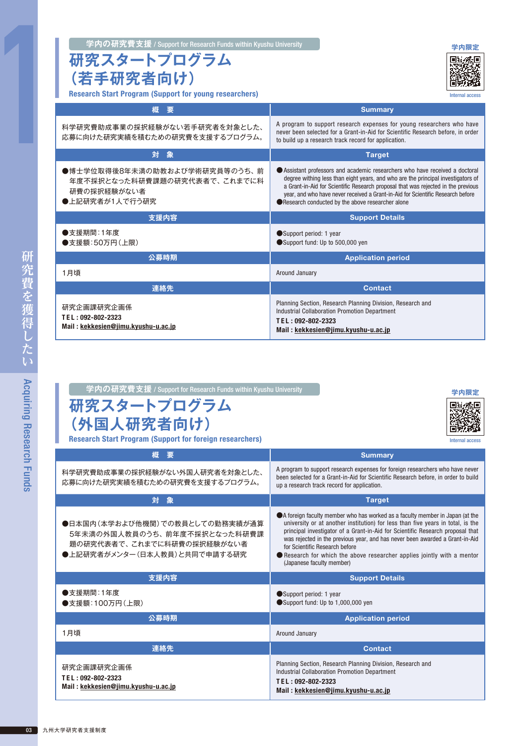|  | 学内の研究費支援 / Support for Research Funds within Kyushu University | 学内限定 |
|--|----------------------------------------------------------------|------|
|--|----------------------------------------------------------------|------|

#### **研究スタートプログラム (若手研究者向け)**

Research Start Program (Support for young researchers)



Internal access

been selected for a Grant-in-Aid for Scientific Research before, in order to build

| 概<br>要                                                                                         | <b>Summary</b>                                                                                                                                                                                                                                                                                                                                                                             |
|------------------------------------------------------------------------------------------------|--------------------------------------------------------------------------------------------------------------------------------------------------------------------------------------------------------------------------------------------------------------------------------------------------------------------------------------------------------------------------------------------|
| 科学研究費助成事業の採択経験がない若手研究者を対象とした、<br>応募に向けた研究実績を積むための研究費を支援するプログラム。                                | A program to support research expenses for young researchers who have<br>never been selected for a Grant-in-Aid for Scientific Research before, in order<br>to build up a research track record for application.                                                                                                                                                                           |
| 対象                                                                                             | <b>Target</b>                                                                                                                                                                                                                                                                                                                                                                              |
| ●博士学位取得後8年未満の助教および学術研究員等のうち、前<br>年度不採択となった科研費課題の研究代表者で、これまでに科<br>研費の採択経験がない者<br>●上記研究者が1人で行う研究 | Assistant professors and academic researchers who have received a doctoral<br>degree withing less than eight years, and who are the principal investigators of<br>a Grant-in-Aid for Scientific Research proposal that was rejected in the previous<br>year, and who have never received a Grant-in-Aid for Scientific Research before<br>Research conducted by the above researcher alone |
| 支援内容                                                                                           | <b>Support Details</b>                                                                                                                                                                                                                                                                                                                                                                     |
| ●支援期間:1年度<br>●支援額:50万円(上限)                                                                     | Support period: 1 year<br>Support fund: Up to 500,000 yen                                                                                                                                                                                                                                                                                                                                  |
| 公募時期                                                                                           | <b>Application period</b>                                                                                                                                                                                                                                                                                                                                                                  |
| 1月頃                                                                                            | Around January                                                                                                                                                                                                                                                                                                                                                                             |
| 連絡先                                                                                            | <b>Contact</b>                                                                                                                                                                                                                                                                                                                                                                             |
| 研究企画課研究企画係<br>TEL: 092-802-2323<br>Mail: kekkesien@jimu.kyushu-u.ac.jp                         | Planning Section, Research Planning Division, Research and<br><b>Industrial Collaboration Promotion Department</b><br>TEL: 092-802-2323<br>Mail: kekkesien@jimu.kyushu-u.ac.jp                                                                                                                                                                                                             |

| 学内の研究費支援 / Support for Research Funds within Kyushu University  | 学内限定                                                                          |
|-----------------------------------------------------------------|-------------------------------------------------------------------------------|
| 研究スタートプログラム<br>(外国人研究者向け)                                       |                                                                               |
| <b>Research Start Program (Support for foreign researchers)</b> | Internal access                                                               |
| 概要                                                              | <b>Summary</b>                                                                |
| 科学研究費助成事業の採択経験がかい外国大研究者を対象とした                                   | A program to support research expenses for foreign researchers who have never |

科学研究費助成事業の採択経験がない外国人研究者を対象とした、 応募に向けた研究実績を積むための研究費を支援するプログラム。

| 応募に向けた研究実績を積むための研究費を支援するフロクラム。                                                                                                | up a research track record for application.                                                                                                                                                                                                                                                                                                                                                                                                                                 |
|-------------------------------------------------------------------------------------------------------------------------------|-----------------------------------------------------------------------------------------------------------------------------------------------------------------------------------------------------------------------------------------------------------------------------------------------------------------------------------------------------------------------------------------------------------------------------------------------------------------------------|
| 対 象                                                                                                                           | <b>Target</b>                                                                                                                                                                                                                                                                                                                                                                                                                                                               |
| ●日本国内(本学および他機関)での教員としての勤務実績が通算<br>5年未満の外国人教員のうち、 前年度不採択となった科研費課<br>題の研究代表者で、これまでに科研費の採択経験がない者<br>●上記研究者がメンター(日本人教員)と共同で申請する研究 | A foreign faculty member who has worked as a faculty member in Japan (at the<br>university or at another institution) for less than five years in total, is the<br>principal investigator of a Grant-in-Aid for Scientific Research proposal that<br>was rejected in the previous year, and has never been awarded a Grant-in-Aid<br>for Scientific Research before<br>● Research for which the above researcher applies jointly with a mentor<br>(Japanese faculty member) |
| 支援内容                                                                                                                          | <b>Support Details</b>                                                                                                                                                                                                                                                                                                                                                                                                                                                      |
| ●支援期間:1年度<br>●支援額:100万円(上限)                                                                                                   | Support period: 1 year<br>Support fund: Up to 1,000,000 yen                                                                                                                                                                                                                                                                                                                                                                                                                 |
| 公募時期                                                                                                                          | <b>Application period</b>                                                                                                                                                                                                                                                                                                                                                                                                                                                   |
| 1月頃                                                                                                                           | Around January                                                                                                                                                                                                                                                                                                                                                                                                                                                              |
| 連絡先                                                                                                                           | <b>Contact</b>                                                                                                                                                                                                                                                                                                                                                                                                                                                              |
| 研究企画課研究企画係<br>TEL: 092-802-2323<br>Mail: kekkesien@jimu.kyushu-u.ac.jp                                                        | Planning Section, Research Planning Division, Research and<br><b>Industrial Collaboration Promotion Department</b><br>TEL: 092-802-2323<br>Mail: kekkesien@jimu.kyushu-u.ac.jp                                                                                                                                                                                                                                                                                              |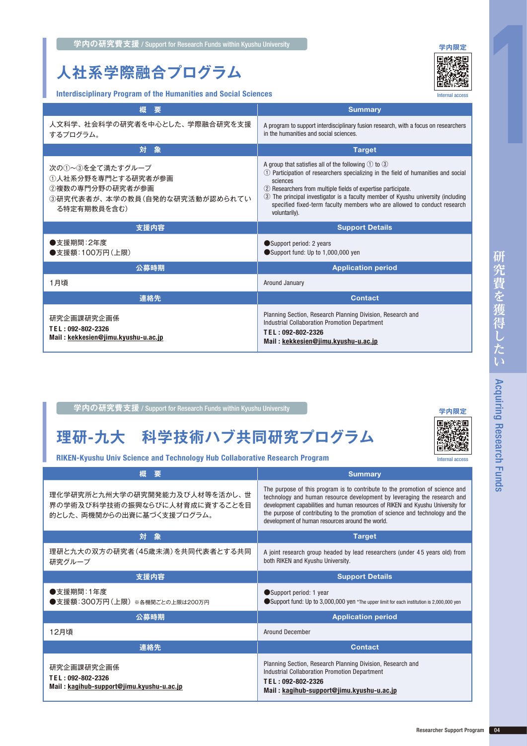### **人社系学際融合プログラム**



Interdisciplinary Program of the Humanities and Social Sciences

| interdisciplinary Program of the Humanities and Social Sciences<br><b>Internal access</b>                |                                                                                                                                                                                                                                                                                                                                                                                                                   |
|----------------------------------------------------------------------------------------------------------|-------------------------------------------------------------------------------------------------------------------------------------------------------------------------------------------------------------------------------------------------------------------------------------------------------------------------------------------------------------------------------------------------------------------|
| 概<br>要                                                                                                   | <b>Summary</b>                                                                                                                                                                                                                                                                                                                                                                                                    |
| 人文科学、社会科学の研究者を中心とした、学際融合研究を支援<br>するプログラム。                                                                | A program to support interdisciplinary fusion research, with a focus on researchers<br>in the humanities and social sciences.                                                                                                                                                                                                                                                                                     |
| 対<br>象                                                                                                   | <b>Target</b>                                                                                                                                                                                                                                                                                                                                                                                                     |
| 次の①~③を全て満たすグループ<br>①人社系分野を専門とする研究者が参画<br>②複数の専門分野の研究者が参画<br>③研究代表者が、本学の教員(自発的な研究活動が認められてい<br>る特定有期教員を含む) | A group that satisfies all of the following $\odot$ to $\odot$<br>1 Participation of researchers specializing in the field of humanities and social<br>sciences<br>2 Researchers from multiple fields of expertise participate.<br>3) The principal investigator is a faculty member of Kyushu university (including<br>specified fixed-term faculty members who are allowed to conduct research<br>voluntarily). |
|                                                                                                          |                                                                                                                                                                                                                                                                                                                                                                                                                   |
| 支援内容                                                                                                     | <b>Support Details</b>                                                                                                                                                                                                                                                                                                                                                                                            |
| ●支援期間:2年度<br>●支援額:100万円(上限)                                                                              | Support period: 2 years<br>Support fund: Up to 1,000,000 yen                                                                                                                                                                                                                                                                                                                                                      |
| 公募時期                                                                                                     | <b>Application period</b>                                                                                                                                                                                                                                                                                                                                                                                         |
| 1月頃                                                                                                      | Around January                                                                                                                                                                                                                                                                                                                                                                                                    |
| 連絡先                                                                                                      | <b>Contact</b>                                                                                                                                                                                                                                                                                                                                                                                                    |

#### 学内の研究費支援 / Support for Research Funds within Kyushu University **マント**ントンの研究を

### **理研-九大 科学技術ハブ共同研究プログラム**

RIKEN-Kyushu Univ Science and Technology Hub Collaborative Research Program

| 概<br>媐                                                                                      | <b>Summary</b>                                                                                                                                                                                                                                                                                                                                                                    |
|---------------------------------------------------------------------------------------------|-----------------------------------------------------------------------------------------------------------------------------------------------------------------------------------------------------------------------------------------------------------------------------------------------------------------------------------------------------------------------------------|
| 理化学研究所と九州大学の研究開発能力及び人材等を活かし、世<br>界の学術及び科学技術の振興ならびに人材育成に資することを目<br>的とした、両機関からの出資に基づく支援プログラム。 | The purpose of this program is to contribute to the promotion of science and<br>technology and human resource development by leveraging the research and<br>development capabilities and human resources of RIKEN and Kyushu University for<br>the purpose of contributing to the promotion of science and technology and the<br>development of human resources around the world. |
| - 象<br>対                                                                                    | <b>Target</b>                                                                                                                                                                                                                                                                                                                                                                     |
| 理研と九大の双方の研究者(45歳未満)を共同代表者とする共同<br>研究グループ                                                    | A joint research group headed by lead researchers (under 45 years old) from<br>both RIKEN and Kyushu University.                                                                                                                                                                                                                                                                  |
| 支援内容                                                                                        | <b>Support Details</b>                                                                                                                                                                                                                                                                                                                                                            |
| ●支援期間:1年度<br>●支援額:300万円(上限)※各機関ごとの上限は200万円                                                  | Support period: 1 year<br>Support fund: Up to 3,000,000 yen *The upper limit for each institution is 2,000,000 yen                                                                                                                                                                                                                                                                |
| 公募時期                                                                                        | <b>Application period</b>                                                                                                                                                                                                                                                                                                                                                         |
| 12月頃                                                                                        | <b>Around December</b>                                                                                                                                                                                                                                                                                                                                                            |
| 連絡先                                                                                         | <b>Contact</b>                                                                                                                                                                                                                                                                                                                                                                    |
| 研究企画課研究企画係<br>TEL: 092-802-2326<br>Mail: kagihub-support@jimu.kyushu-u.ac.jp                | Planning Section, Research Planning Division, Research and<br><b>Industrial Collaboration Promotion Department</b><br>TEL: 092-802-2326<br>Mail: kagihub-support@jimu.kyushu-u.ac.jp                                                                                                                                                                                              |

Internal access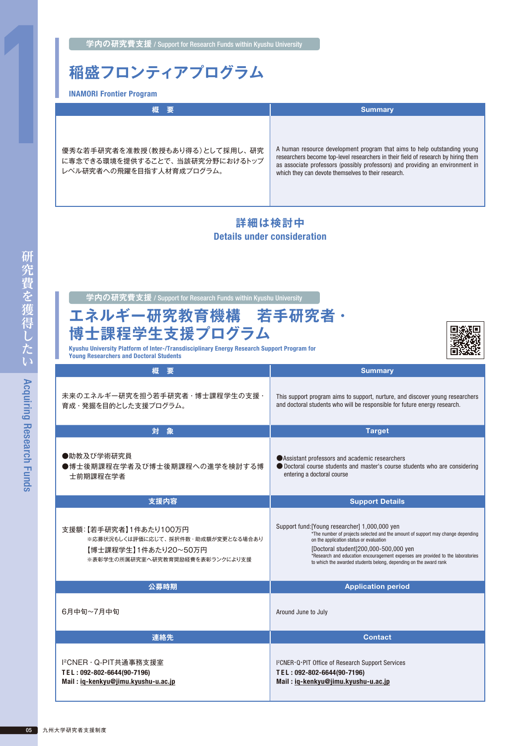**学内の研究費支援** / Support for Research Funds within Kyushu University

### **稲盛フロンティアプログラム**

INAMORI Frontier Program

| 概 要                                                                                          | <b>Summary</b>                                                                                                                                                                                                                                                                                         |
|----------------------------------------------------------------------------------------------|--------------------------------------------------------------------------------------------------------------------------------------------------------------------------------------------------------------------------------------------------------------------------------------------------------|
| 優秀な若手研究者を准教授(教授もあり得る)として採用し、研究<br>に専念できる環境を提供することで、当該研究分野におけるトップ<br>レベル研究者への飛躍を目指す人材育成プログラム。 | A human resource development program that aims to help outstanding young<br>researchers become top-level researchers in their field of research by hiring them<br>as associate professors (possibly professors) and providing an environment in<br>which they can devote themselves to their research. |

#### **詳細は検討中** Details under consideration

| エネルギー研究教育機構 若手研究者·<br>博士課程学生支援プログラム<br>Kyushu University Platform of Inter-/Transdisciplinary Energy Research Support Program for<br><b>Young Researchers and Doctoral Students</b> |                                                                                                                                                                                                                                                                                                                                                                                |
|-------------------------------------------------------------------------------------------------------------------------------------------------------------------------------------|--------------------------------------------------------------------------------------------------------------------------------------------------------------------------------------------------------------------------------------------------------------------------------------------------------------------------------------------------------------------------------|
| 概要                                                                                                                                                                                  | <b>Summary</b>                                                                                                                                                                                                                                                                                                                                                                 |
| 未来のエネルギー研究を担う若手研究者・博士課程学生の支援・<br>育成・発掘を目的とした支援プログラム。                                                                                                                                | This support program aims to support, nurture, and discover young researchers<br>and doctoral students who will be responsible for future energy research.                                                                                                                                                                                                                     |
| 対 象                                                                                                                                                                                 | <b>Target</b>                                                                                                                                                                                                                                                                                                                                                                  |
| ●助教及び学術研究員<br>●博士後期課程在学者及び博士後期課程への進学を検討する博<br>士前期課程在学者                                                                                                                              | ● Assistant professors and academic researchers<br>● Doctoral course students and master's course students who are considering<br>entering a doctoral course                                                                                                                                                                                                                   |
| 支援内容                                                                                                                                                                                | <b>Support Details</b>                                                                                                                                                                                                                                                                                                                                                         |
| 支援額:【若手研究者】1件あたり100万円<br>※応募状況もしくは評価に応じて、採択件数·助成額が変更となる場合あり<br>【博士課程学生】1件あたり20~50万円<br>※表彰学生の所属研究室へ研究教育奨励経費を表彰ランクにより支援                                                              | Support fund: [Young researcher] 1,000,000 yen<br>*The number of projects selected and the amount of support may change depending<br>on the application status or evaluation<br>[Doctoral student] 200,000-500,000 yen<br>*Research and education encouragement expenses are provided to the laboratories<br>to which the awarded students belong, depending on the award rank |
| 公募時期                                                                                                                                                                                | <b>Application period</b>                                                                                                                                                                                                                                                                                                                                                      |
| 6月中旬~7月中旬                                                                                                                                                                           | Around June to July                                                                                                                                                                                                                                                                                                                                                            |
|                                                                                                                                                                                     |                                                                                                                                                                                                                                                                                                                                                                                |
| 連絡先                                                                                                                                                                                 | <b>Contact</b>                                                                                                                                                                                                                                                                                                                                                                 |

Mail : [iq-kenkyu@jimu.kyushu-u.ac.jp](mailto:iq-kenkyu%40jimu.kyushu-u.ac.jp?subject=)

Mail : [iq-kenkyu@jimu.kyushu-u.ac.jp](mailto:iq-kenkyu%40jimu.kyushu-u.ac.jp?subject=)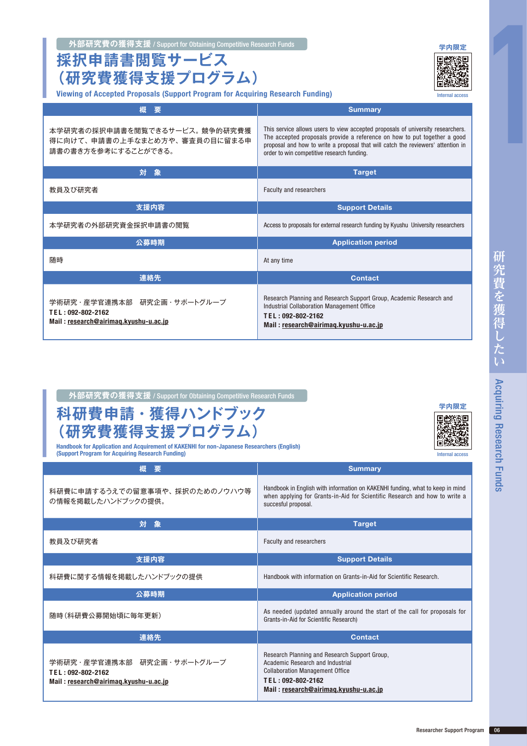**採択申請書閲覧サービス (研究費獲得支援プログラム)**

Viewing of Accepted Proposals (Support Program for Acquiring Research Funding)

Internal access

| 要<br>糊                                                                                   | <b>Summary</b>                                                                                                                                                                                                                                                                                |
|------------------------------------------------------------------------------------------|-----------------------------------------------------------------------------------------------------------------------------------------------------------------------------------------------------------------------------------------------------------------------------------------------|
| 本学研究者の採択申請書を閲覧できるサービス。 競争的研究費獲<br>得に向けて、申請書の上手なまとめ方や、審査員の目に留まる申<br>請書の書き方を参考にすることができる。   | This service allows users to view accepted proposals of university researchers.<br>The accepted proposals provide a reference on how to put together a good<br>proposal and how to write a proposal that will catch the reviewers' attention in<br>order to win competitive research funding. |
| 対<br>象                                                                                   | <b>Target</b>                                                                                                                                                                                                                                                                                 |
| 教員及び研究者                                                                                  | Faculty and researchers                                                                                                                                                                                                                                                                       |
| 支援内容                                                                                     | <b>Support Details</b>                                                                                                                                                                                                                                                                        |
| 本学研究者の外部研究資金採択申請書の閲覧                                                                     | Access to proposals for external research funding by Kyushu University researchers                                                                                                                                                                                                            |
| 公募時期                                                                                     | <b>Application period</b>                                                                                                                                                                                                                                                                     |
| 随時                                                                                       | At any time                                                                                                                                                                                                                                                                                   |
| 連絡先                                                                                      | <b>Contact</b>                                                                                                                                                                                                                                                                                |
| 学術研究・産学官連携本部 研究企画・サポートグループ<br>TEL: 092-802-2162<br>Mail: research@airimaq.kyushu-u.ac.jp | Research Planning and Research Support Group, Academic Research and<br>Industrial Collaboration Management Office<br>TEL: 092-802-2162<br>Mail: research@airimag.kyushu-u.ac.jp                                                                                                               |

|  | 外部研究費の獲得支援 / Support for Obtaining Competitive Research Funds |
|--|---------------------------------------------------------------|
|--|---------------------------------------------------------------|

### **科研費申請・獲得ハンドブック (研究費獲得支援プログラム)**

Handbook for Application and Acquirement of KAKENHI for non-Japanese Researchers (English) (Support Program for Acquiring Research Funding)

| 概<br>要                                                                                   | <b>Summary</b>                                                                                                                                                                            |
|------------------------------------------------------------------------------------------|-------------------------------------------------------------------------------------------------------------------------------------------------------------------------------------------|
| 科研費に申請するうえでの留意事項や、採択のためのノウハウ等<br>の情報を掲載したハンドブックの提供。                                      | Handbook in English with information on KAKENHI funding, what to keep in mind<br>when applying for Grants-in-Aid for Scientific Research and how to write a<br>succesful proposal.        |
| 対象                                                                                       | <b>Target</b>                                                                                                                                                                             |
| 教員及び研究者                                                                                  | <b>Faculty and researchers</b>                                                                                                                                                            |
| 支援内容                                                                                     | <b>Support Details</b>                                                                                                                                                                    |
| 科研費に関する情報を掲載したハンドブックの提供                                                                  | Handbook with information on Grants-in-Aid for Scientific Research.                                                                                                                       |
| 公募時期                                                                                     | <b>Application period</b>                                                                                                                                                                 |
| 随時(科研費公募開始頃に毎年更新)                                                                        | As needed (updated annually around the start of the call for proposals for<br>Grants-in-Aid for Scientific Research)                                                                      |
| 連絡先                                                                                      | <b>Contact</b>                                                                                                                                                                            |
| 学術研究・産学官連携本部 研究企画・サポートグループ<br>TEL: 092-802-2162<br>Mail: research@airimag.kyushu-u.ac.jp | Research Planning and Research Support Group.<br>Academic Research and Industrial<br><b>Collaboration Management Office</b><br>TEL: 092-802-2162<br>Mail: research@airimaq.kyushu-u.ac.jp |

**[学内限定](https://airimaq.kyushu-u.ac.jp/ja/teacher/page.php?code=1&side=01)**

Internal access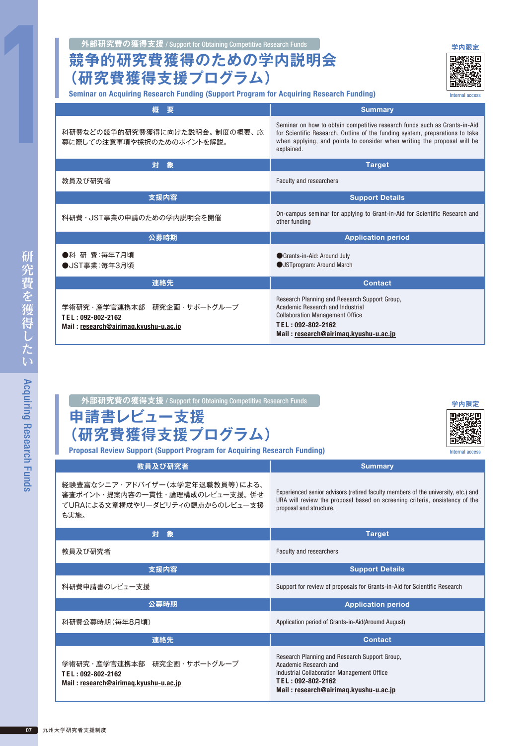**外部研究費の獲得支援 / Support for Obtaining Competitive Research Funds の中国のアプロセスを受けることを受ける。** 

#### **競争的研究費獲得のための学内説明会 (研究費獲得支援プログラム)**

Seminar on Acquiring Research Funding (Support Program for Acquiring Research Funding)

| 概<br>要                                                                                   | <b>Summary</b>                                                                                                                                                                                                                                     |
|------------------------------------------------------------------------------------------|----------------------------------------------------------------------------------------------------------------------------------------------------------------------------------------------------------------------------------------------------|
| 科研費などの競争的研究費獲得に向けた説明会。制度の概要、応<br>募に際しての注意事項や採択のためのポイントを解説。                               | Seminar on how to obtain competitive research funds such as Grants-in-Aid<br>for Scientific Research. Outline of the funding system, preparations to take<br>when applying, and points to consider when writing the proposal will be<br>explained. |
| 対<br>象                                                                                   | <b>Target</b>                                                                                                                                                                                                                                      |
| 教員及び研究者                                                                                  | Faculty and researchers                                                                                                                                                                                                                            |
| 支援内容                                                                                     | <b>Support Details</b>                                                                                                                                                                                                                             |
| 科研費・JST事業の申請のための学内説明会を開催                                                                 | On-campus seminar for applying to Grant-in-Aid for Scientific Research and<br>other funding                                                                                                                                                        |
| 公募時期                                                                                     | <b>Application period</b>                                                                                                                                                                                                                          |
| ●科 研 費:毎年7月頃<br>●JST事業:毎年3月頃                                                             | Grants-in-Aid: Around July<br><b>JSTprogram: Around March</b>                                                                                                                                                                                      |
| 連絡先                                                                                      | <b>Contact</b>                                                                                                                                                                                                                                     |
| 学術研究・産学官連携本部 研究企画・サポートグループ<br>TEL: 092-802-2162<br>Mail: research@airimag.kyushu-u.ac.jp | Research Planning and Research Support Group,<br>Academic Research and Industrial<br><b>Collaboration Management Office</b><br>TEL: 092-802-2162<br>Mail: research@airimaq.kyushu-u.ac.jp                                                          |

#### **外部研究費の獲得支援** / Support for Obtaining Competitive Research Funds **[学内限定](https://airimaq.kyushu-u.ac.jp/ja/teacher/page.php?code=1&side=01)**

| 申請書レビュー支援      |  |
|----------------|--|
| (研究費獲得支援プログラム) |  |



Internal access

Proposal Review Support (Support Program for Acquiring Research Funding)

| 教員及び研究者                                                                                                      | <b>Summary</b>                                                                                                                                                                              |
|--------------------------------------------------------------------------------------------------------------|---------------------------------------------------------------------------------------------------------------------------------------------------------------------------------------------|
| 経験豊富なシニア・アドバイザー(本学定年退職教員等)による、<br>審査ポイント・提案内容の一貫性・論理構成のレビュー支援。 併せ<br>てURAによる文章構成やリーダビリティの観点からのレビュー支援<br>も実施。 | Experienced senior advisors (retired faculty members of the university, etc.) and<br>URA will review the proposal based on screening criteria, onsistency of the<br>proposal and structure. |
| 対<br>象                                                                                                       | <b>Target</b>                                                                                                                                                                               |
| 教員及び研究者                                                                                                      | <b>Faculty and researchers</b>                                                                                                                                                              |
| 支援内容                                                                                                         | <b>Support Details</b>                                                                                                                                                                      |
| 科研費申請書のレビュー支援                                                                                                | Support for review of proposals for Grants-in-Aid for Scientific Research                                                                                                                   |
| 公募時期                                                                                                         | <b>Application period</b>                                                                                                                                                                   |
| 科研費公募時期(毎年8月頃)                                                                                               | Application period of Grants-in-Aid(Aroumd August)                                                                                                                                          |
| 連絡先                                                                                                          | <b>Contact</b>                                                                                                                                                                              |
| 学術研究・産学官連携本部 研究企画・サポートグループ<br>TEL: 092-802-2162<br>Mail: research@airimag.kyushu-u.ac.jp                     | Research Planning and Research Support Group,<br>Academic Research and<br>Industrial Collaboration Management Office<br>TEL: 092-802-2162<br>Mail: research@airimaq.kyushu-u.ac.jp          |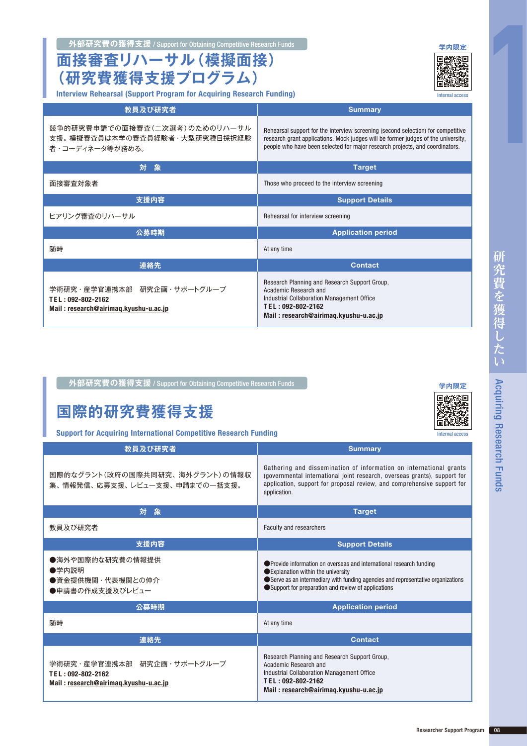#### **外部研究費の獲得支援 / Support for Obtaining Competitive Research Funds の制度をついている。 [学内限定](https://airimaq.kyushu-u.ac.jp/ja/teacher/page.php?code=1&side=01)**

**面接審査リハーサル(模擬面接) (研究費獲得支援プログラム)**

Interview Rehearsal (Support Program for Acquiring Research Funding)

| 教員及び研究者                                                                                  | <b>Summary</b>                                                                                                                                                                                                                                        |
|------------------------------------------------------------------------------------------|-------------------------------------------------------------------------------------------------------------------------------------------------------------------------------------------------------------------------------------------------------|
| 競争的研究費申請での面接審査(二次選考)のためのリハーサル<br>支援。模擬審査員は本学の審査員経験者・大型研究種目採択経験<br>者・コーディネータ等が務める。        | Rehearsal support for the interview screening (second selection) for competitive<br>research grant applications. Mock judges will be former judges of the university,<br>people who have been selected for major research projects, and coordinators. |
| 対<br>象                                                                                   | <b>Target</b>                                                                                                                                                                                                                                         |
| 面接審査対象者                                                                                  | Those who proceed to the interview screening                                                                                                                                                                                                          |
| 支援内容                                                                                     | <b>Support Details</b>                                                                                                                                                                                                                                |
| ヒアリング審査のリハーサル                                                                            | Rehearsal for interview screening                                                                                                                                                                                                                     |
| 公募時期                                                                                     | <b>Application period</b>                                                                                                                                                                                                                             |
| 随時                                                                                       | At any time                                                                                                                                                                                                                                           |
| 連絡先                                                                                      | <b>Contact</b>                                                                                                                                                                                                                                        |
| 学術研究・産学官連携本部 研究企画・サポートグループ<br>TEL: 092-802-2162<br>Mail: research@airimag.kyushu-u.ac.jp | Research Planning and Research Support Group.<br>Academic Research and<br>Industrial Collaboration Management Office<br>TEL: 092-802-2162<br>Mail: research@airimag.kyushu-u.ac.jp                                                                    |

**外部研究費の獲得支援** / Support for Obtaining Competitive Research Funds **[学内限定](https://airimaq.kyushu-u.ac.jp/ja/teacher/page.php?code=3&side=01)**

### **国際的研究費獲得支援**

Support for Acquiring International Competitive Research Funding

| 教員及び研究者                                                                                  | <b>Summary</b>                                                                                                                                                                                                                                       |
|------------------------------------------------------------------------------------------|------------------------------------------------------------------------------------------------------------------------------------------------------------------------------------------------------------------------------------------------------|
| 国際的なグラント(政府の国際共同研究、海外グラント)の情報収<br>集、情報発信、応募支援、レビュー支援、申請までの一括支援。                          | Gathering and dissemination of information on international grants<br>(governmental international joint research, overseas grants), support for<br>application, support for proposal review, and comprehensive support for<br>application.           |
| 象<br>対                                                                                   | <b>Target</b>                                                                                                                                                                                                                                        |
| 教員及び研究者                                                                                  | <b>Faculty and researchers</b>                                                                                                                                                                                                                       |
| 支援内容                                                                                     | <b>Support Details</b>                                                                                                                                                                                                                               |
| ●海外や国際的な研究費の情報提供<br>●学内説明<br>●資金提供機関・代表機関との仲介<br>●申請書の作成支援及びレビュー                         | ● Provide information on overseas and international research funding<br>● Explanation within the university<br>Serve as an intermediary with funding agencies and representative organizations<br>Support for preparation and review of applications |
| 公募時期                                                                                     | <b>Application period</b>                                                                                                                                                                                                                            |
| 随時                                                                                       | At any time                                                                                                                                                                                                                                          |
| 連絡先                                                                                      | <b>Contact</b>                                                                                                                                                                                                                                       |
| 学術研究・産学官連携本部 研究企画・サポートグループ<br>TEL: 092-802-2162<br>Mail: research@airimag.kyushu-u.ac.jp | Research Planning and Research Support Group,<br>Academic Research and<br>Industrial Collaboration Management Office<br>TEL: 092-802-2162<br>Mail: research@airimag.kyushu-u.ac.jp                                                                   |





Internal access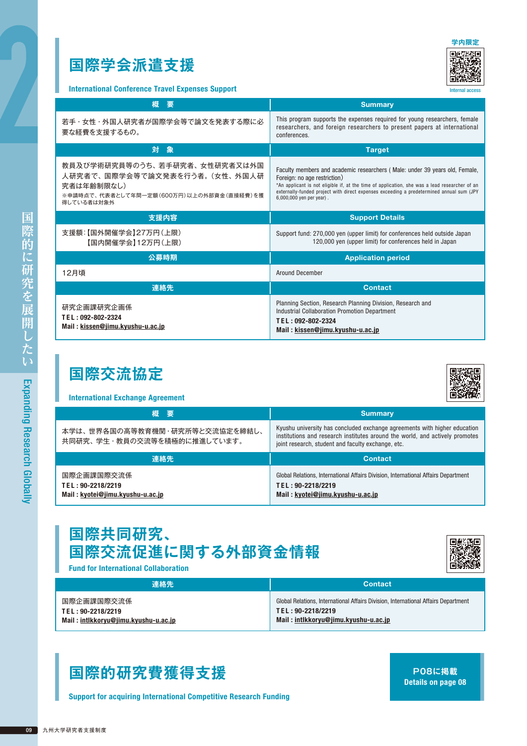### **国際学会派遣支援**



Internal access

International Conference Travel Expenses Support

| 概<br>– 要                                                                                                                               | <b>Summary</b>                                                                                                                                                                                                                                                                                                                       |
|----------------------------------------------------------------------------------------------------------------------------------------|--------------------------------------------------------------------------------------------------------------------------------------------------------------------------------------------------------------------------------------------------------------------------------------------------------------------------------------|
| 若手・女性・外国人研究者が国際学会等で論文を発表する際に必<br>要な経費を支援するもの。                                                                                          | This program supports the expenses required for young researchers, female<br>researchers, and foreign researchers to present papers at international<br>conferences.                                                                                                                                                                 |
| 対象                                                                                                                                     | <b>Target</b>                                                                                                                                                                                                                                                                                                                        |
| 教員及び学術研究員等のうち、若手研究者、女性研究者又は外国<br>人研究者で、国際学会等で論文発表を行う者。(女性、外国人研<br>究者は年齢制限なし)<br>※申請時点で、代表者として年間一定額(600万円)以上の外部資金(直接経費)を獲<br>得している者は対象外 | Faculty members and academic researchers (Male: under 39 years old, Female,<br>Foreign: no age restriction)<br>*An applicant is not eligible if, at the time of application, she was a lead researcher of an<br>externally-funded project with direct expenses exceeding a predetermined annual sum (JPY<br>6,000,000 yen per year). |
| 支援内容                                                                                                                                   | <b>Support Details</b>                                                                                                                                                                                                                                                                                                               |
| 支援額:【国外開催学会】27万円(上限)<br>【国内開催学会】12万円(上限)                                                                                               | Support fund: 270,000 yen (upper limit) for conferences held outside Japan<br>120,000 yen (upper limit) for conferences held in Japan                                                                                                                                                                                                |
| 公募時期                                                                                                                                   | <b>Application period</b>                                                                                                                                                                                                                                                                                                            |
| 12月頃                                                                                                                                   | Around December                                                                                                                                                                                                                                                                                                                      |
| 連絡先                                                                                                                                    | <b>Contact</b>                                                                                                                                                                                                                                                                                                                       |
| 研究企画課研究企画係<br>TEL: 092-802-2324<br>Mail: kissen@jimu.kyushu-u.ac.jp                                                                    | Planning Section, Research Planning Division, Research and<br><b>Industrial Collaboration Promotion Department</b><br>TEL: 092-802-2324<br>Mail: kissen@jimu.kyushu-u.ac.jp                                                                                                                                                          |

### **国際交流協定**

#### International Exchange Agreement

| 概 要                                                           | <b>Summary</b>                                                                                                                                                                                                  |
|---------------------------------------------------------------|-----------------------------------------------------------------------------------------------------------------------------------------------------------------------------------------------------------------|
| 本学は、世界各国の高等教育機関・研究所等と交流協定を締結し、<br>共同研究、学生・教員の交流等を積極的に推進しています。 | Kyushu university has concluded exchange agreements with higher education<br>institutions and research institutes around the world, and actively promotes<br>joint research, student and faculty exchange, etc. |

| 連絡先                              | <b>Contact</b>                                                                     |
|----------------------------------|------------------------------------------------------------------------------------|
| 国際企画課国際交流係                       | Global Relations, International Affairs Division, International Affairs Department |
| TEL: 90-2218/2219                | TEL: 90-2218/2219                                                                  |
| Mail: kyotei@jimu.kyushu-u.ac.jp | Mail: kyotei@jimu.kyushu-u.ac.jp                                                   |

#### **国際共同研究、 国際交流促進に関する外部資金情報**



Fund for International Collaboration

| 連絡先                                  | <b>Contact</b>                                                                     |
|--------------------------------------|------------------------------------------------------------------------------------|
| 国際企画課国際交流係                           | Global Relations, International Affairs Division, International Affairs Department |
| TEL: 90-2218/2219                    | TEL: 90-2218/2219                                                                  |
| Mail: intlkkoryu@jimu.kyushu-u.ac.jp | Mail: intlkkoryu@jimu.kyushu-u.ac.jp                                               |

#### **国際的研究費獲得支援**

Support for acquiring International Competitive Research Funding

**P08に掲載** Details on page 08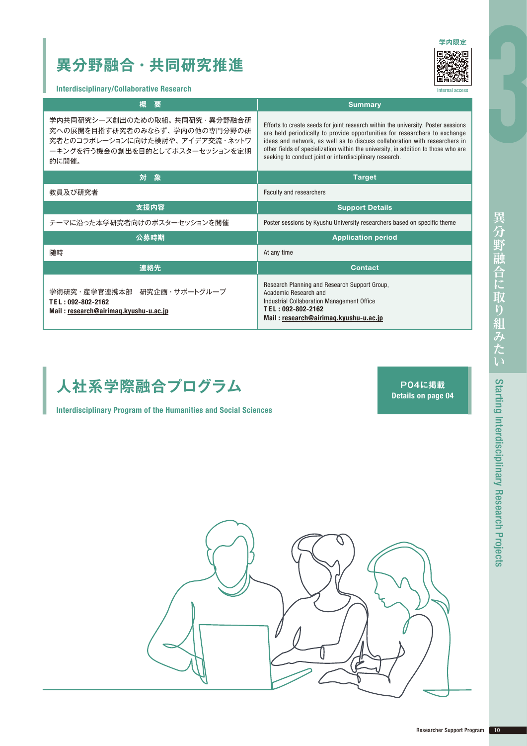### **異分野融合・共同研究推進**



**Iternal acce** 

Interdisciplinary/Collaborative Research

| 概<br>要                                                                                                                                       | <b>Summary</b>                                                                                                                                                                                                                                                                                                                                                                                 |
|----------------------------------------------------------------------------------------------------------------------------------------------|------------------------------------------------------------------------------------------------------------------------------------------------------------------------------------------------------------------------------------------------------------------------------------------------------------------------------------------------------------------------------------------------|
| 学内共同研究シーズ創出のための取組。共同研究・異分野融合研<br>究への展開を目指す研究者のみならず、学内の他の専門分野の研<br>究者とのコラボレーションに向けた検討や、アイデア交流・ネットワ<br>ーキングを行う機会の創出を目的としてポスターセッションを定期<br>的に開催。 | Efforts to create seeds for joint research within the university. Poster sessions<br>are held periodically to provide opportunities for researchers to exchange<br>ideas and network, as well as to discuss collaboration with researchers in<br>other fields of specialization within the university, in addition to those who are<br>seeking to conduct joint or interdisciplinary research. |
| 対象                                                                                                                                           | <b>Target</b>                                                                                                                                                                                                                                                                                                                                                                                  |
| 教員及び研究者                                                                                                                                      | Faculty and researchers                                                                                                                                                                                                                                                                                                                                                                        |
| 支援内容                                                                                                                                         | <b>Support Details</b>                                                                                                                                                                                                                                                                                                                                                                         |
| テーマに沿った本学研究者向けのポスターセッションを開催                                                                                                                  | Poster sessions by Kyushu University researchers based on specific theme                                                                                                                                                                                                                                                                                                                       |
| 公募時期                                                                                                                                         | <b>Application period</b>                                                                                                                                                                                                                                                                                                                                                                      |
| 随時                                                                                                                                           | At any time                                                                                                                                                                                                                                                                                                                                                                                    |
| 連絡先                                                                                                                                          | <b>Contact</b>                                                                                                                                                                                                                                                                                                                                                                                 |
| 学術研究・産学官連携本部 研究企画・サポートグループ<br>TEL: 092-802-2162<br>Mail: research@airimag.kyushu-u.ac.jp                                                     | Research Planning and Research Support Group.<br>Academic Research and<br>Industrial Collaboration Management Office<br>TEL: 092-802-2162<br>Mail: research@airimag.kyushu-u.ac.jp                                                                                                                                                                                                             |



Interdisciplinary Program of the Humanities and Social Sciences

**P04に掲載** Details on page 04

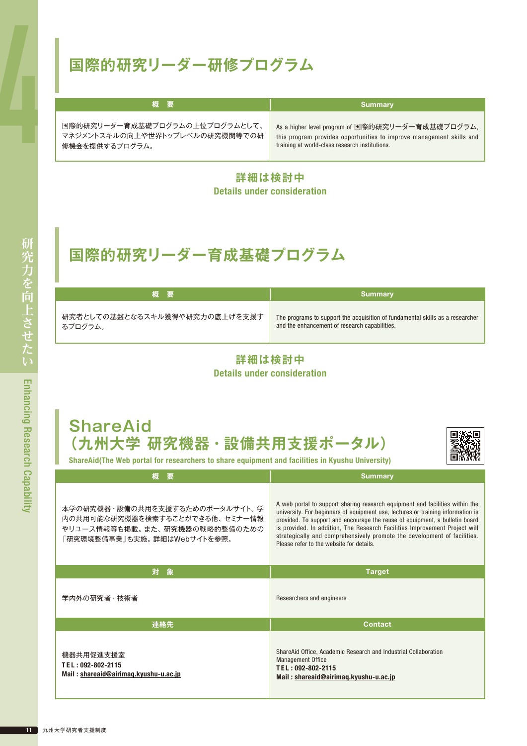### **国際的研究リーダー研修プログラム**

| 概要                             | <b>Summary</b>                                                       |
|--------------------------------|----------------------------------------------------------------------|
| 国際的研究リーダー育成基礎プログラムの上位プログラムとして、 | As a higher level program of 国際的研究リーダー育成基礎プログラム,                     |
| マネジメントスキルの向上や世界トップレベルの研究機関等での研 | this program provides opportunities to improve management skills and |
| 修機会を提供するプログラム。                 | training at world-class research institutions.                       |

**詳細は検討中** Details under consideration

### **国際的研究リーダー育成基礎プログラム**

| 概要                            | Summary                                                                       |
|-------------------------------|-------------------------------------------------------------------------------|
| 研究者としての基盤となるスキル獲得や研究力の底上げを支援す | The programs to support the acquisition of fundamental skills as a researcher |
| るプログラム。                       | and the enhancement of research capabilities.                                 |

**詳細は検討中** Details under consideration

### **ShareAid (九州大学 研究機器・設備共用支援ポータル)**



ShareAid(The Web portal for researchers to share equipment and facilities in Kyushu University)

| 概<br>要                                                                                                                            | <b>Summary</b>                                                                                                                                                                                                                                                                                                                                                                                                                                       |
|-----------------------------------------------------------------------------------------------------------------------------------|------------------------------------------------------------------------------------------------------------------------------------------------------------------------------------------------------------------------------------------------------------------------------------------------------------------------------------------------------------------------------------------------------------------------------------------------------|
| 本学の研究機器・設備の共用を支援するためのポータルサイト。学<br>内の共用可能な研究機器を検索することができる他、セミナー情報<br>やリユース情報等も掲載。また、研究機器の戦略的整備のための<br>「研究環境整備事業」も実施。 詳細はWebサイトを参照。 | A web portal to support sharing research equipment and facilities within the<br>university. For beginners of equipment use, lectures or training information is<br>provided. To support and encourage the reuse of equipment, a bulletin board<br>is provided. In addition, The Research Facilities Improvement Project will<br>strategically and comprehensively promote the development of facilities.<br>Please refer to the website for details. |
| 対象                                                                                                                                | <b>Target</b>                                                                                                                                                                                                                                                                                                                                                                                                                                        |
| 学内外の研究者・技術者                                                                                                                       | Researchers and engineers                                                                                                                                                                                                                                                                                                                                                                                                                            |
| 連絡先                                                                                                                               | <b>Contact</b>                                                                                                                                                                                                                                                                                                                                                                                                                                       |
| 機器共用促進支援室<br>TEL: 092-802-2115<br>Mail: shareaid@airimaq.kyushu-u.ac.jp                                                           | ShareAid Office, Academic Research and Industrial Collaboration<br><b>Management Office</b><br>TEL: 092-802-2115<br>Mail: shareaid@airimag.kyushu-u.ac.jp                                                                                                                                                                                                                                                                                            |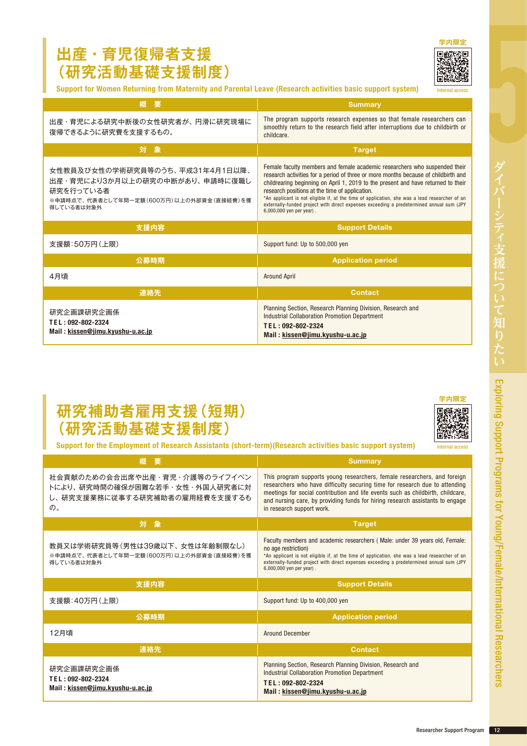#### **出産・育児復帰者支援 (研究活動基礎支援制度)**



Support for Women Returning from Maternity and Parental Leave (Research activities basic support system)

| 要<br>概                                                                                                                                    | <b>Summary</b>                                                                                                                                                                                                                                                                                                                                                                                                                                                                                                                    |  |
|-------------------------------------------------------------------------------------------------------------------------------------------|-----------------------------------------------------------------------------------------------------------------------------------------------------------------------------------------------------------------------------------------------------------------------------------------------------------------------------------------------------------------------------------------------------------------------------------------------------------------------------------------------------------------------------------|--|
| 出産・育児による研究中断後の女性研究者が、円滑に研究現場に<br>復帰できるように研究費を支援するもの。                                                                                      | The program supports research expenses so that female researchers can<br>smoothly return to the research field after interruptions due to childbirth or<br>childcare.                                                                                                                                                                                                                                                                                                                                                             |  |
| 対象                                                                                                                                        | <b>Target</b>                                                                                                                                                                                                                                                                                                                                                                                                                                                                                                                     |  |
| 女性教員及び女性の学術研究員等のうち、平成31年4月1日以降、<br>出産・育児により3か月以上の研究の中断があり、 申請時に復職し<br>研究を行っている者<br>※申請時点で、代表者として年間一定額(600万円)以上の外部資金(直接経費)を獲<br>得している者は対象外 | Female faculty members and female academic researchers who suspended their<br>research activities for a period of three or more months because of childbirth and<br>childrearing beginning on April 1, 2019 to the present and have returned to their<br>research positions at the time of application.<br>*An applicant is not eligible if, at the time of application, she was a lead researcher of an<br>externally-funded project with direct expenses exceeding a predetermined annual sum (JPY)<br>6,000,000 yen per year). |  |
| 支援内容                                                                                                                                      | <b>Support Details</b>                                                                                                                                                                                                                                                                                                                                                                                                                                                                                                            |  |
| 支援額:50万円(上限)                                                                                                                              | Support fund: Up to 500,000 yen                                                                                                                                                                                                                                                                                                                                                                                                                                                                                                   |  |
| 公募時期                                                                                                                                      | <b>Application period</b>                                                                                                                                                                                                                                                                                                                                                                                                                                                                                                         |  |
| 4月頃                                                                                                                                       | <b>Around April</b>                                                                                                                                                                                                                                                                                                                                                                                                                                                                                                               |  |
| 連絡先                                                                                                                                       | <b>Contact</b>                                                                                                                                                                                                                                                                                                                                                                                                                                                                                                                    |  |
| 研究企画課研究企画係<br>TEL: 092-802-2324<br>Mail: kissen@jimu.kyushu-u.ac.jp                                                                       | Planning Section, Research Planning Division, Research and<br><b>Industrial Collaboration Promotion Department</b><br>TEL: 092-802-2324<br>Mail: kissen@jimu.kyushu-u.ac.jp                                                                                                                                                                                                                                                                                                                                                       |  |

#### **研究補助者雇用支援(短期) (研究活動基礎支援制度)**

Support for the Employment of Research Assistants (short-term)(Research activities basic support system)

| 概要                                                                                                                         | <b>Summary</b>                                                                                                                                                                                                                                                                                                                                           |  |
|----------------------------------------------------------------------------------------------------------------------------|----------------------------------------------------------------------------------------------------------------------------------------------------------------------------------------------------------------------------------------------------------------------------------------------------------------------------------------------------------|--|
| 社会貢献のための会合出席や出産・育児・介護等のライフイベン<br>トにより、研究時間の確保が困難な若手・女性・外国人研究者に対<br>し、研究支援業務に従事する研究補助者の雇用経費を支援するも<br>$\mathcal{D}_{\alpha}$ | This program supports young researchers, female researchers, and foreign<br>researchers who have difficulty securing time for research due to attending<br>meetings for social contribution and life events such as childbirth, childcare,<br>and nursing care, by providing funds for hiring research assistants to engage<br>in research support work. |  |
| 対<br>象                                                                                                                     | <b>Target</b>                                                                                                                                                                                                                                                                                                                                            |  |
| 教員又は学術研究員等(男性は39歳以下、女性は年齢制限なし)<br>※申請時点で、代表者として年間一定額(600万円)以上の外部資金(直接経費)を獲<br>得している者は対象外                                   | Faculty members and academic researchers (Male: under 39 years old, Female:<br>no age restriction)<br>*An applicant is not eligible if, at the time of application, she was a lead researcher of an<br>externally-funded project with direct expenses exceeding a predetermined annual sum (JPY<br>6,000,000 yen per year).                              |  |
| 支援内容                                                                                                                       | <b>Support Details</b>                                                                                                                                                                                                                                                                                                                                   |  |
| 支援額:40万円(上限)                                                                                                               | Support fund: Up to 400,000 yen                                                                                                                                                                                                                                                                                                                          |  |
| 公募時期                                                                                                                       | <b>Application period</b>                                                                                                                                                                                                                                                                                                                                |  |
|                                                                                                                            |                                                                                                                                                                                                                                                                                                                                                          |  |
| 12月頃                                                                                                                       | <b>Around December</b>                                                                                                                                                                                                                                                                                                                                   |  |
| 連絡先                                                                                                                        | <b>Contact</b>                                                                                                                                                                                                                                                                                                                                           |  |



Internal access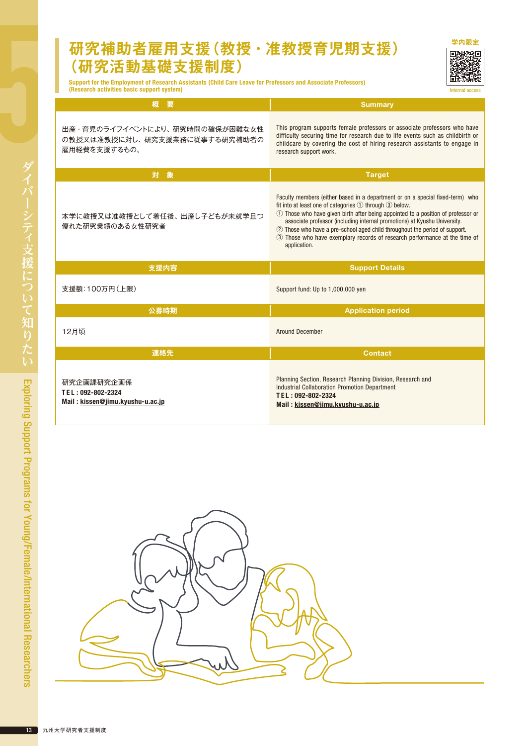#### **研究補助者雇用支援(教授・准教授育児期支援) (研究活動基礎支援制度)**



Internal ac

Support for the Employment of Research Assistants (Child Care Leave for Professors and Associate Professors) (Research activities basic support system)

| 概<br>要                                                                          | <b>Summary</b>                                                                                                                                                                                                                                                                                                                                                                                                                                                                       |  |
|---------------------------------------------------------------------------------|--------------------------------------------------------------------------------------------------------------------------------------------------------------------------------------------------------------------------------------------------------------------------------------------------------------------------------------------------------------------------------------------------------------------------------------------------------------------------------------|--|
| 出産・育児のライフイベントにより、研究時間の確保が困難な女性<br>の教授又は准教授に対し、研究支援業務に従事する研究補助者の<br>雇用経費を支援するもの。 | This program supports female professors or associate professors who have<br>difficulty securing time for research due to life events such as childbirth or<br>childcare by covering the cost of hiring research assistants to engage in<br>research support work.                                                                                                                                                                                                                    |  |
| 対象                                                                              | <b>Target</b>                                                                                                                                                                                                                                                                                                                                                                                                                                                                        |  |
| 本学に教授又は准教授として着任後、出産し子どもが未就学且つ<br>優れた研究業績のある女性研究者                                | Faculty members (either based in a department or on a special fixed-term) who<br>fit into at least one of categories ① through 3 below.<br>① Those who have given birth after being appointed to a position of professor or<br>associate professor (including internal promotions) at Kyushu University.<br>2 Those who have a pre-school aged child throughout the period of support.<br>3) Those who have exemplary records of research performance at the time of<br>application. |  |
| 支援内容                                                                            | <b>Support Details</b>                                                                                                                                                                                                                                                                                                                                                                                                                                                               |  |
| 支援額:100万円(上限)                                                                   | Support fund: Up to 1,000,000 yen                                                                                                                                                                                                                                                                                                                                                                                                                                                    |  |
|                                                                                 |                                                                                                                                                                                                                                                                                                                                                                                                                                                                                      |  |
| 公募時期                                                                            | <b>Application period</b>                                                                                                                                                                                                                                                                                                                                                                                                                                                            |  |
| 12月頃                                                                            | <b>Around December</b>                                                                                                                                                                                                                                                                                                                                                                                                                                                               |  |
| 連絡先                                                                             | <b>Contact</b>                                                                                                                                                                                                                                                                                                                                                                                                                                                                       |  |

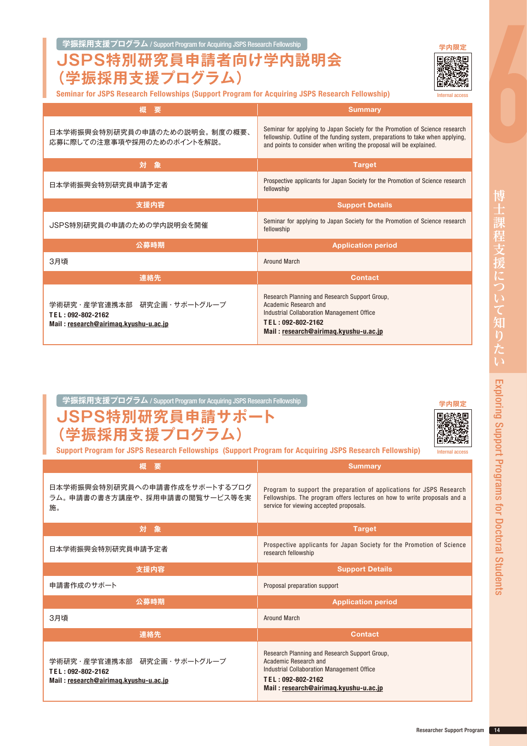#### **学振採用支援プログラム** / Support Program for Acquiring JSPS Research Fellowship **[学内限定](https://airimaq.kyushu-u.ac.jp/ja/teacher2/page.php?code=14&side=10)**

#### **JSPS特別研究員申請者向け学内説明会 (学振採用支援プログラム)**

Seminar for JSPS Research Fellowships (Support Program for Acquiring JSPS Research Fellowship)

| 概<br>要                                                                                   | <b>Summary</b>                                                                                                                                                                                                                       |  |  |
|------------------------------------------------------------------------------------------|--------------------------------------------------------------------------------------------------------------------------------------------------------------------------------------------------------------------------------------|--|--|
| 日本学術振興会特別研究員の申請のための説明会。制度の概要、<br>応募に際しての注意事項や採用のためのポイントを解説。                              | Seminar for applying to Japan Society for the Promotion of Science research<br>fellowship. Outline of the funding system, preparations to take when applying,<br>and points to consider when writing the proposal will be explained. |  |  |
| 対<br>象                                                                                   | <b>Target</b>                                                                                                                                                                                                                        |  |  |
| 日本学術振興会特別研究員申請予定者                                                                        | Prospective applicants for Japan Society for the Promotion of Science research<br>fellowship                                                                                                                                         |  |  |
| 支援内容                                                                                     | <b>Support Details</b>                                                                                                                                                                                                               |  |  |
| JSPS特別研究員の申請のための学内説明会を開催                                                                 | Seminar for applying to Japan Society for the Promotion of Science research<br>fellowship                                                                                                                                            |  |  |
| 公募時期                                                                                     | <b>Application period</b>                                                                                                                                                                                                            |  |  |
| 3月頃                                                                                      | <b>Around March</b>                                                                                                                                                                                                                  |  |  |
| 連絡先                                                                                      | <b>Contact</b>                                                                                                                                                                                                                       |  |  |
| 学術研究・産学官連携本部 研究企画・サポートグループ<br>TEL: 092-802-2162<br>Mail: research@airimaq.kyushu-u.ac.jp | Research Planning and Research Support Group,<br>Academic Research and<br>Industrial Collaboration Management Office<br>TEL: 092-802-2162<br>Mail: research@airimag.kyushu-u.ac.jp                                                   |  |  |

#### **学振採用支援プログラム** / Support Program for Acquiring JSPS Research Fellowship **[学内限定](https://airimaq.kyushu-u.ac.jp/ja/teacher2/page.php?code=14&side=10)**

| JSPS特別研究員申請サポート |
|-----------------|
| (学振採用支援プログラム)   |



Support Program for JSPS Research Fellowships (Support Program for Acquiring JSPS Research Fellowship)

| 概<br>要                                                                                   | <b>Summary</b>                                                                                                                                                                              |  |
|------------------------------------------------------------------------------------------|---------------------------------------------------------------------------------------------------------------------------------------------------------------------------------------------|--|
| 日本学術振興会特別研究員への申請書作成をサポートするプログ<br>ラム。 申請書の書き方講座や、 採用申請書の閲覧サービス等を実<br>施。                   | Program to support the preparation of applications for JSPS Research<br>Fellowships. The program offers lectures on how to write proposals and a<br>service for viewing accepted proposals. |  |
| 象<br>対                                                                                   | <b>Target</b>                                                                                                                                                                               |  |
| 日本学術振興会特別研究員申請予定者                                                                        | Prospective applicants for Japan Society for the Promotion of Science<br>research fellowship                                                                                                |  |
| 支援内容                                                                                     | <b>Support Details</b>                                                                                                                                                                      |  |
| 申請書作成のサポート                                                                               | Proposal preparation support                                                                                                                                                                |  |
| 公募時期                                                                                     | <b>Application period</b>                                                                                                                                                                   |  |
| 3月頃                                                                                      | <b>Around March</b>                                                                                                                                                                         |  |
| 連絡先                                                                                      | <b>Contact</b>                                                                                                                                                                              |  |
| 学術研究・産学官連携本部 研究企画・サポートグループ<br>TEL: 092-802-2162<br>Mail: research@airimaq.kyushu-u.ac.jp | Research Planning and Research Support Group,<br>Academic Research and<br>Industrial Collaboration Management Office<br>TEL: 092-802-2162<br>Mail: research@airimag.kyushu-u.ac.jp          |  |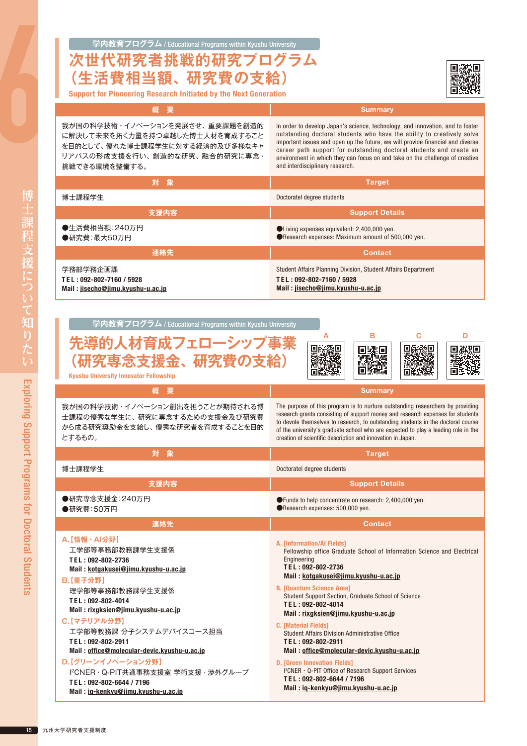#### **学内教育プログラム** / Educational Programs within Kyushu University **次世代研究者挑戦的研究プログラム**



| 生活費相当額、研究費の支給〕<br><b>Support for Pioneering Research Initiated by the Next Generation</b>                                                            |                                                                                                                                                                                                                                                                                                                                                                                                                                      |  |
|------------------------------------------------------------------------------------------------------------------------------------------------------|--------------------------------------------------------------------------------------------------------------------------------------------------------------------------------------------------------------------------------------------------------------------------------------------------------------------------------------------------------------------------------------------------------------------------------------|--|
| 概<br>要                                                                                                                                               | <b>Summary</b>                                                                                                                                                                                                                                                                                                                                                                                                                       |  |
| 我が国の科学技術・イノベーションを発展させ、重要課題を創造的<br>に解決して未来を拓く力量を持つ卓越した博士人材を育成すること<br>を目的として、優れた博士課程学生に対する経済的及び多様なキャ<br>リアパスの形成支援を行い、創造的な研究、融合的研究に専念・<br>挑戦できる環境を整備する。 | In order to develop Japan's science, technology, and innovation, and to foster<br>outstanding doctoral students who have the ability to creatively solve<br>important issues and open up the future, we will provide financial and diverse<br>career path support for outstanding doctoral students and create an<br>environment in which they can focus on and take on the challenge of creative<br>and interdisciplinary research. |  |
| 対<br>象                                                                                                                                               | <b>Target</b>                                                                                                                                                                                                                                                                                                                                                                                                                        |  |
| 博士課程学生                                                                                                                                               | Doctoratel degree students                                                                                                                                                                                                                                                                                                                                                                                                           |  |
| 支援内容                                                                                                                                                 | <b>Support Details</b>                                                                                                                                                                                                                                                                                                                                                                                                               |  |
| ●生活費相当額:240万円<br>●研究費:最大50万円                                                                                                                         | ● Living expenses equivalent: 2,400,000 yen.<br>Research expenses: Maximum amount of 500,000 yen.                                                                                                                                                                                                                                                                                                                                    |  |
| 連絡先                                                                                                                                                  | <b>Contact</b>                                                                                                                                                                                                                                                                                                                                                                                                                       |  |
| 学務部学務企画課<br>TEL: 092-802-7160 / 5928<br>Mail: jisecho@jimu.kyushu-u.ac.jp                                                                            | Student Affairs Planning Division, Student Affairs Department<br>TEL: 092-802-7160 / 5928<br>Mail: jisecho@jimu.kyushu-u.ac.jp                                                                                                                                                                                                                                                                                                       |  |
| 学内教育プログラム / Educational Programs within Kyushu University<br>先導的人材育成フェローシップ事業<br>(研究専念支援金、研究費の支給)<br><b>Kyushu University Innovator Fellowship</b>   | в<br>C<br>D                                                                                                                                                                                                                                                                                                                                                                                                                          |  |
| 概要                                                                                                                                                   | <b>Summary</b>                                                                                                                                                                                                                                                                                                                                                                                                                       |  |
| 我が国の科学技術・イノベーション創出を担うことが期待される博<br>士課程の優秀な学生に、研究に専念するための支援金及び研究費<br>から成る研究奨励金を支給し、優秀な研究者を育成することを目的<br>とするもの。                                          | The purpose of this program is to nurture outstanding researchers by providing<br>research grants consisting of support money and research expenses for students<br>to devote themselves to research, to outstanding students in the doctoral course<br>of the university's graduate school who are expected to play a leading role in the<br>creation of scientific description and innovation in Japan.                            |  |
| 対<br>象                                                                                                                                               | <b>Target</b>                                                                                                                                                                                                                                                                                                                                                                                                                        |  |
| 博士課程学生                                                                                                                                               | Doctoratel degree students                                                                                                                                                                                                                                                                                                                                                                                                           |  |
| 支援内容                                                                                                                                                 | <b>Support Details</b>                                                                                                                                                                                                                                                                                                                                                                                                               |  |
| ●研究専念支援金:240万円<br>●研究費:50万円                                                                                                                          | ● Funds to help concentrate on research: 2,400,000 yen.<br>Research expenses: 500,000 yen.                                                                                                                                                                                                                                                                                                                                           |  |
| 連絡先                                                                                                                                                  | <b>Contact</b>                                                                                                                                                                                                                                                                                                                                                                                                                       |  |
| A.【情報·Al分野】<br>工学部等事務部教務課学生支援係<br>TEL: 092-802-2736<br>Mail: kotgakusei@jimu.kyushu-u.ac.jp<br>【申フハ戦】                                                | <b>A. [Information/Al Fields]</b><br>Fellowship office Graduate School of Information Science and Electrical<br>Engineering<br>TEL: 092-802-2736<br>Mail: kotgakusei@jimu.kyushu-u.ac.jp                                                                                                                                                                                                                                             |  |

B. [Quantum Science Area]

T E L : 092-802-4014

T E L : 092-802-2911

D. [Green Innovation Fields]

T E L : 092-802-6644 / 7196

C. [Material Fields]

Student Support Section, Graduate School of Science

Mail : [office@molecular-devic.kyushu-u.ac.jp](mailto:office%40molecular-devic.kyushu-u.ac.jp?subject=)

I 2 CNER・Q-PIT Office of Research Support Services

Mail : [rixgksien@jimu.kyushu-u.ac.jp](mailto:rixgksien%40jimu.kyushu-u.ac.jp?subject=)

Student Affairs Division Administrative Office

Mail : [iq-kenkyu@jimu.kyushu-u.ac.jp](mailto:iq-kenkyu%40jimu.kyushu-u.ac.jp?subject=)

**B.【量子分野】**

T E L : 092-802-4014

T E L : 092-802-2911

**D.【グリーンイノベーション分野】**

T E L : 092-802-6644 / 7196

**C.【マテリアル分野】**

理学部等事務部教務課学生支援係

Mail : [rixgksien@jimu.kyushu-u.ac.jp](mailto:rixgksien%40jimu.kyushu-u.ac.jp?subject=)

Mail : [iq-kenkyu@jimu.kyushu-u.ac.jp](mailto:iq-kenkyu%40jimu.kyushu-u.ac.jp?subject=)

工学部等教務課 分子システムデバイスコース担当

I 2CNER・Q-PIT共通事務支援室 学術支援・渉外グループ

Mail : [office@molecular-devic.kyushu-u.ac.jp](mailto:office%40molecular-devic.kyushu-u.ac.jp?subject=)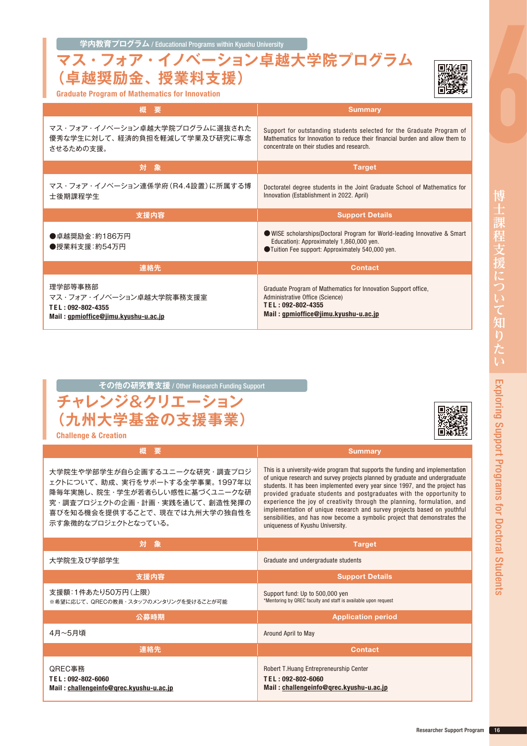**学内教育プログラム** / Educational Programs within Kyushu University

Graduate Program of Mathematics for Innovation

#### **マス・フォア・イノベーション卓越大学院プログラム (卓越奨励金、授業料支援)**



| 概要                                                                           | <b>Summary</b>                                                                                                                                                                                       |
|------------------------------------------------------------------------------|------------------------------------------------------------------------------------------------------------------------------------------------------------------------------------------------------|
| マス・フォア・イノベーション卓越大学院プログラムに選抜された<br>優秀な学生に対して、経済的負担を軽減して学業及び研究に専念<br>させるための支援。 | Support for outstanding students selected for the Graduate Program of<br>Mathematics for Innovation to reduce their financial burden and allow them to<br>concentrate on their studies and research. |
| 対象                                                                           | <b>Target</b>                                                                                                                                                                                        |
| マス・フォア・イノベーション連係学府(R4.4設置)に所属する博<br>士後期課程学生                                  | Doctoratel degree students in the Joint Graduate School of Mathematics for<br>Innovation (Establishment in 2022. April)                                                                              |
| 支援内容                                                                         | <b>Support Details</b>                                                                                                                                                                               |
|                                                                              |                                                                                                                                                                                                      |
| ●卓越奨励金:約186万円<br>●授業料支援:約54万円                                                | WISE scholarships(Doctoral Program for World-leading Innovative & Smart<br>Education): Approximately 1,860,000 yen.<br>●Tuition Fee support: Approximately 540,000 yen.                              |
| 連絡先                                                                          | <b>Contact</b>                                                                                                                                                                                       |

| <u> その他の研究費支援 / Other Res</u> earch Funding Support <sub> </sub> |  |  |
|------------------------------------------------------------------|--|--|
| チャレンジ&クリエーション                                                    |  |  |
| (九州大学基金の支援事業)                                                    |  |  |



Challenge & Creation

| 概<br>要                                                                                                                                                                                       | <b>Summary</b>                                                                                                                                                                                                                                                                                                                                                                                                                                                                                                                                                                                 |
|----------------------------------------------------------------------------------------------------------------------------------------------------------------------------------------------|------------------------------------------------------------------------------------------------------------------------------------------------------------------------------------------------------------------------------------------------------------------------------------------------------------------------------------------------------------------------------------------------------------------------------------------------------------------------------------------------------------------------------------------------------------------------------------------------|
| 大学院生や学部学生が自ら企画するユニークな研究・調査プロジ<br>ェクトについて、助成、実行をサポートする全学事業。1997年以<br>降毎年実施し、院生・学生が若者らしい感性に基づくユニークな研<br>究・調査プロジェクトの企画・計画・実践を通じて、創造性発揮の<br>喜びを知る機会を提供することで、現在では九州大学の独自性を<br>示す象徴的なプロジェクトとなっている。 | This is a university-wide program that supports the funding and implementation<br>of unique research and survey projects planned by graduate and undergraduate<br>students. It has been implemented every year since 1997, and the project has<br>provided graduate students and postgraduates with the opportunity to<br>experience the joy of creativity through the planning, formulation, and<br>implementation of unique research and survey projects based on youthful<br>sensibilities, and has now become a symbolic project that demonstrates the<br>uniqueness of Kyushu University. |
| 対象                                                                                                                                                                                           | <b>Target</b>                                                                                                                                                                                                                                                                                                                                                                                                                                                                                                                                                                                  |
| 大学院生及び学部学生                                                                                                                                                                                   | Graduate and undergraduate students                                                                                                                                                                                                                                                                                                                                                                                                                                                                                                                                                            |
| 支援内容                                                                                                                                                                                         | <b>Support Details</b>                                                                                                                                                                                                                                                                                                                                                                                                                                                                                                                                                                         |
| 支援額:1件あたり50万円(上限)<br>※希望に応じて、QRECの教員・スタッフのメンタリングを受けることが可能                                                                                                                                    | Support fund: Up to 500,000 yen<br>*Mentoring by QREC faculty and staff is available upon request                                                                                                                                                                                                                                                                                                                                                                                                                                                                                              |
| 公募時期                                                                                                                                                                                         | <b>Application period</b>                                                                                                                                                                                                                                                                                                                                                                                                                                                                                                                                                                      |
| 4月~5月頃                                                                                                                                                                                       | Around April to May                                                                                                                                                                                                                                                                                                                                                                                                                                                                                                                                                                            |
| 連絡先                                                                                                                                                                                          | <b>Contact</b>                                                                                                                                                                                                                                                                                                                                                                                                                                                                                                                                                                                 |
| QREC事務<br>TEL: 092-802-6060<br>Mail: challengeinfo@grec.kyushu-u.ac.jp                                                                                                                       | Robert T.Huang Entrepreneurship Center<br>TEL: 092-802-6060<br>Mail: challengeinfo@grec.kyushu-u.ac.jp                                                                                                                                                                                                                                                                                                                                                                                                                                                                                         |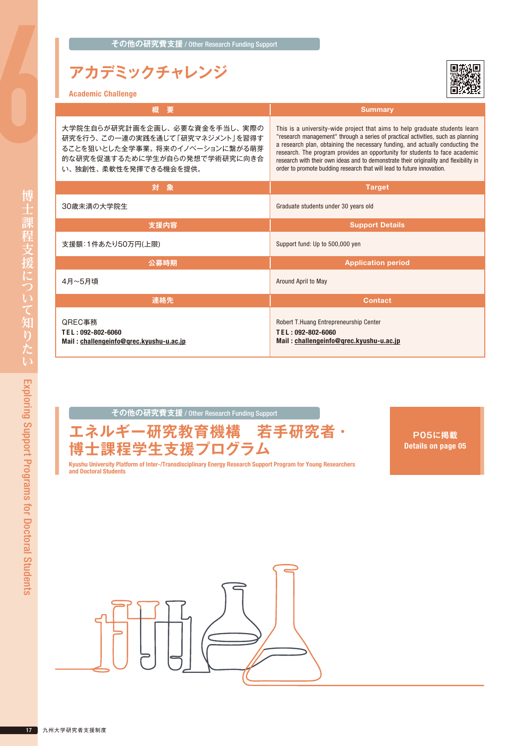### **アカデミックチャレンジ**



| <b>Academic Challenge</b> |  |  |
|---------------------------|--|--|
|---------------------------|--|--|

| 概<br>要                                                                                                                                                       | <b>Summary</b>                                                                                                                                                                                                                                                                                                                                                                                                                                                                                     |
|--------------------------------------------------------------------------------------------------------------------------------------------------------------|----------------------------------------------------------------------------------------------------------------------------------------------------------------------------------------------------------------------------------------------------------------------------------------------------------------------------------------------------------------------------------------------------------------------------------------------------------------------------------------------------|
| 大学院生自らが研究計画を企画し、必要な資金を手当し、実際の<br>研究を行う、この一連の実践を通じて「研究マネジメント」を習得す<br>ることを狙いとした全学事業。将来のイノベーションに繋がる萌芽<br>的な研究を促進するために学生が自らの発想で学術研究に向き合<br>い、独創性、柔軟性を発揮できる機会を提供。 | This is a university-wide project that aims to help graduate students learn<br>"research management" through a series of practical activities, such as planning<br>a research plan, obtaining the necessary funding, and actually conducting the<br>research. The program provides an opportunity for students to face academic<br>research with their own ideas and to demonstrate their originality and flexibility in<br>order to promote budding research that will lead to future innovation. |
| 対象                                                                                                                                                           | <b>Target</b>                                                                                                                                                                                                                                                                                                                                                                                                                                                                                      |
| 30歳未満の大学院生                                                                                                                                                   | Graduate students under 30 years old                                                                                                                                                                                                                                                                                                                                                                                                                                                               |
| 支援内容                                                                                                                                                         | <b>Support Details</b>                                                                                                                                                                                                                                                                                                                                                                                                                                                                             |
| 支援額:1件あたり50万円(上限)                                                                                                                                            | Support fund: Up to 500,000 yen                                                                                                                                                                                                                                                                                                                                                                                                                                                                    |
| 公募時期                                                                                                                                                         | <b>Application period</b>                                                                                                                                                                                                                                                                                                                                                                                                                                                                          |
| 4月~5月頃                                                                                                                                                       | Around April to May                                                                                                                                                                                                                                                                                                                                                                                                                                                                                |
| 連絡先                                                                                                                                                          | <b>Contact</b>                                                                                                                                                                                                                                                                                                                                                                                                                                                                                     |
| QREC事務<br>TEL: 092-802-6060<br>Mail: challengeinfo@grec.kyushu-u.ac.jp                                                                                       | Robert T. Huang Entrepreneurship Center<br>TEL: 092-802-6060<br>Mail: challengeinfo@grec.kyushu-u.ac.jp                                                                                                                                                                                                                                                                                                                                                                                            |

**その他の研究費支援** / Other Research Funding Support



**P05に掲載** Details on page 05

Kyushu University Platform of Inter-/Transdisciplinary Energy Research Support Program for Young Researchers and Doctoral Students

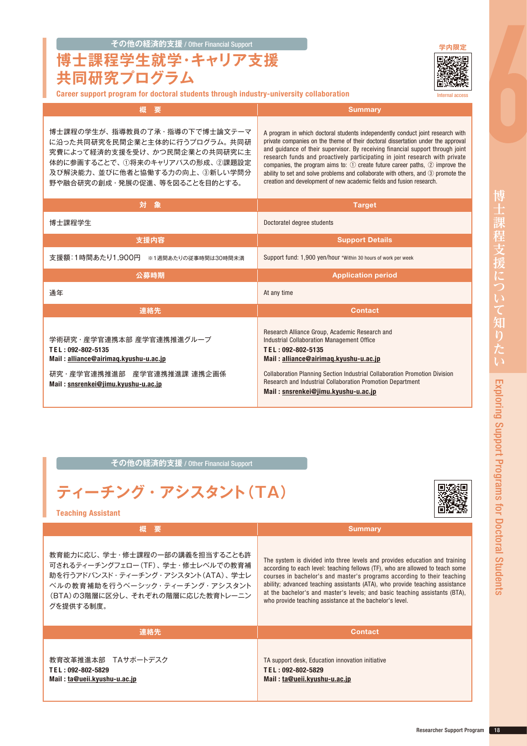**博士課程学生就学・キャリア支援 共同研究プログラム**

Internal access

**概 要** Summary

博士課程の学生が、指導教員の了承・指導の下で博士論文テーマ に沿った共同研究を民間企業と主体的に行うプログラム。共同研 究費によって経済的支援を受け、かつ民間企業との共同研究に主 体的に参画することで、①将来のキャリアパスの形成、②課題設定 及び解決能力、並びに他者と協働する力の向上、③新しい学問分 野や融合研究の創成・発展の促進、等を図ることを目的とする。

A program in which doctoral students independently conduct joint research with private companies on the theme of their doctoral dissertation under the approval and guidance of their supervisor. By receiving financial support through joint research funds and proactively participating in joint research with private companies, the program aims to: ① create future career paths, ② improve the ability to set and solve problems and collaborate with others, and ③ promote the creation and development of new academic fields and fusion research.

| 対<br>象                                                                                                                                                      | <b>Target</b>                                                                                                                                                                                                                                                                                                                                        |
|-------------------------------------------------------------------------------------------------------------------------------------------------------------|------------------------------------------------------------------------------------------------------------------------------------------------------------------------------------------------------------------------------------------------------------------------------------------------------------------------------------------------------|
| 博士課程学生                                                                                                                                                      | Doctoratel degree students                                                                                                                                                                                                                                                                                                                           |
| 支援内容                                                                                                                                                        | <b>Support Details</b>                                                                                                                                                                                                                                                                                                                               |
| 支援額:1時間あたり1,900円<br>※1週間あたりの従事時間は30時間未満                                                                                                                     | Support fund: 1,900 yen/hour *Within 30 hours of work per week                                                                                                                                                                                                                                                                                       |
| 公募時期                                                                                                                                                        | <b>Application period</b>                                                                                                                                                                                                                                                                                                                            |
| 通年                                                                                                                                                          | At any time                                                                                                                                                                                                                                                                                                                                          |
| 連絡先                                                                                                                                                         | <b>Contact</b>                                                                                                                                                                                                                                                                                                                                       |
| 学術研究・産学官連携本部 産学官連携推進グループ<br>TEL: 092-802-5135<br>Mail: alliance@airimaq.kyushu-u.ac.jp<br>研究・産学官連携推進部 産学官連携推進課 連携企画係<br>Mail: snsrenkei@jimu.kyushu-u.ac.jp | Research Alliance Group, Academic Research and<br>Industrial Collaboration Management Office<br>TEL: 092-802-5135<br>Mail: alliance@airimag.kyushu-u.ac.jp<br><b>Collaboration Planning Section Industrial Collaboration Promotion Division</b><br>Research and Industrial Collaboration Promotion Department<br>Mail: snsrenkei@jimu.kyushu-u.ac.jp |

#### **その他の経済的支援** / Other Financial Support





Teaching Assistant

**概 要 Summary** 教育能力に応じ、学士・修士課程の一部の講義を担当することも許 可されるティーチングフェロー(TF)、学士・修士レベルでの教育補 助を行うアドバンスド・ティーチング・アシスタント(ATA)、学士レ ベルの教育補助を行うベーシック・ティーチング・アシスタント (BTA)の3階層に区分し、それぞ グを提供する制度。

| れぞれの階層に応じた教育トレーニン | at the bachelor's and master's levels; and basic teaching assistants (BTA),<br>who provide teaching assistance at the bachelor's level. |
|-------------------|-----------------------------------------------------------------------------------------------------------------------------------------|
| 連絡先               | <b>Contact</b>                                                                                                                          |
|                   |                                                                                                                                         |

教育改革推進本部 TAサポートデスク T E L : 092-802-5829 Mail : [ta@ueii.kyushu-u.ac.jp](mailto:ta@ueii.kyushu-u.ac.jp)

#### The system is divided into three levels and provides education and training according to each level: teaching fellows (TF), who are allowed to teach some courses in bachelor's and master's programs according to their teaching ability; advanced teaching assistants (ATA), who provide teaching assistance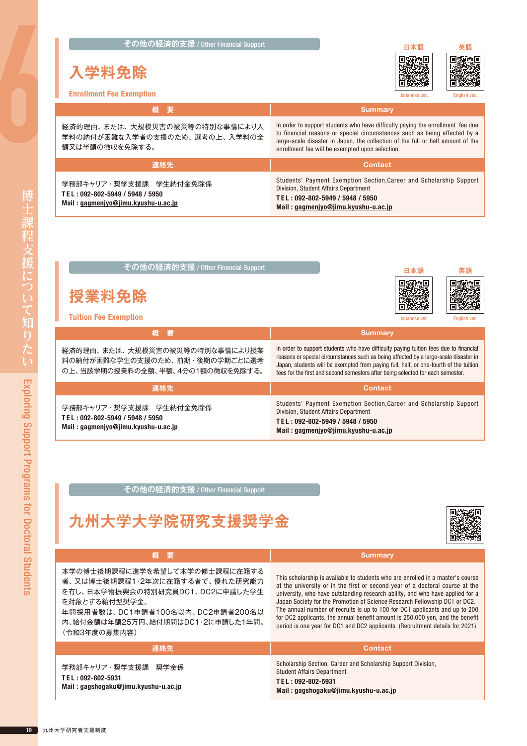**その他の経済的支援 / Other Financial Support インストリック [日本語](https://www.kyushu-u.ac.jp/ja/education/fees/exempt01)** 

### **入学料免除**





Enrollment Fee Exemption

| <b>Enrollment Fee Exemption</b>                                                                  | English ver.<br>Japanese ver.                                                                                                                                                                                                                                                                     |
|--------------------------------------------------------------------------------------------------|---------------------------------------------------------------------------------------------------------------------------------------------------------------------------------------------------------------------------------------------------------------------------------------------------|
| 【概】要】                                                                                            | <b>Summary</b>                                                                                                                                                                                                                                                                                    |
| 経済的理由、または、大規模災害の被災等の特別な事情により入<br>学料の納付が困難な入学者の支援のため、選考の上、入学料の全<br>額又は半額の徴収を免除する。                 | In order to support students who have difficulty paying the enrollment fee due<br>to financial reasons or special circumstances such as being affected by a<br>large-scale disaster in Japan, the collection of the full or half amount of the<br>enrollment fee will be exempted upon selection. |
| 連絡先                                                                                              | <b>Contact</b>                                                                                                                                                                                                                                                                                    |
| 学務部キャリア・奨学支援課 学生納付金免除係<br>TEL: 092-802-5949 / 5948 / 5950<br>Mail: gagmenjyo@jimu.kyushu-u.ac.jp | Students' Payment Exemption Section, Career and Scholarship Support<br>Division, Student Affairs Department<br>TEL: 092-802-5949 / 5948 / 5950<br>Mail: gagmenjyo@jimu.kyushu-u.ac.jp                                                                                                             |

| その他の経済的支援 / Other Financial Support                                                                  | 日本語<br>英語                                                                                                                                                                                                                                                                                                                                                 |
|------------------------------------------------------------------------------------------------------|-----------------------------------------------------------------------------------------------------------------------------------------------------------------------------------------------------------------------------------------------------------------------------------------------------------------------------------------------------------|
| 授業料免除<br><b>Tuition Fee Exemption</b>                                                                | English ver.<br>Japanese ver.                                                                                                                                                                                                                                                                                                                             |
| 概<br>要                                                                                               | <b>Summary</b>                                                                                                                                                                                                                                                                                                                                            |
| 経済的理由、または、大規模災害の被災等の特別な事情により授業<br>料の納付が困難な学生の支援のため、前期・後期の学期ごとに選考<br>の上、当該学期の授業料の全額、半額、4分の1額の徴収を免除する。 | In order to support students who have difficulty paying tuition fees due to financial<br>reasons or special circumstances such as being affected by a large-scale disaster in<br>Japan, students will be exempted from paying full, half, or one-fourth of the tuition<br>fees for the first and second semesters after being selected for each semester. |
| 連絡先                                                                                                  | <b>Contact</b>                                                                                                                                                                                                                                                                                                                                            |
| 学務部キャリア・奨学支援課 学生納付金免除係<br>TEL: 092-802-5949 / 5948 / 5950<br>Mail: gagmenjyo@jimu.kyushu-u.ac.jp     | Students' Payment Exemption Section, Career and Scholarship Support<br>Division, Student Affairs Department<br>TEL: 092-802-5949 / 5948 / 5950<br>Mail: gagmenjyo@jimu.kyushu-u.ac.jp                                                                                                                                                                     |

**その他の経済的支援** / Other Financial Support

**九州大学大学院研究支援奨学金**



| 概 要                                  | <b>Summary</b>                                                                  |
|--------------------------------------|---------------------------------------------------------------------------------|
| 本学の博士後期課程に進学を希望して本学の修士課程に在籍する        | This scholarship is available to students who are enrolled in a master's course |
| 者、又は博士後期課程1・2年次に在籍する者で、優れた研究能力       | at the university or in the first or second year of a doctoral course at the    |
| を有し、日本学術振興会の特別研究員DC1、DC2に申請した学生      | university, who have outstanding research ability, and who have applied for a   |
| を対象とする給付型奨学金。                        | Japan Society for the Promotion of Science Research Fellowship DC1 or DC2.      |
| 年間採用者数は、DC1申請者100名以内、DC2申請者200名以     | The annual number of recruits is up to 100 for DC1 applicants and up to 200     |
| 内、給付金額は年額25万円、給付期間はDC1・2に申請した1年間。    | for DC2 applicants, the annual benefit amount is 250,000 yen, and the benefit   |
| (令和3年度の募集内容)                         | period is one year for DC1 and DC2 applicants. (Recruitment details for 2021)   |
| 連絡先                                  | <b>Contact</b>                                                                  |
| 学務部キャリア・奨学支援課                        | Scholarship Section, Career and Scholarship Support Division,                   |
| 奨学金係                                 | <b>Student Affairs Department</b>                                               |
| TEL: 092-802-5931                    | TEL: 092-802-5931                                                               |
| Mail: gagshogaku@jimu.kyushu-u.ac.jp | Mail: gagshogaku@jimu.kyushu-u.ac.jp                                            |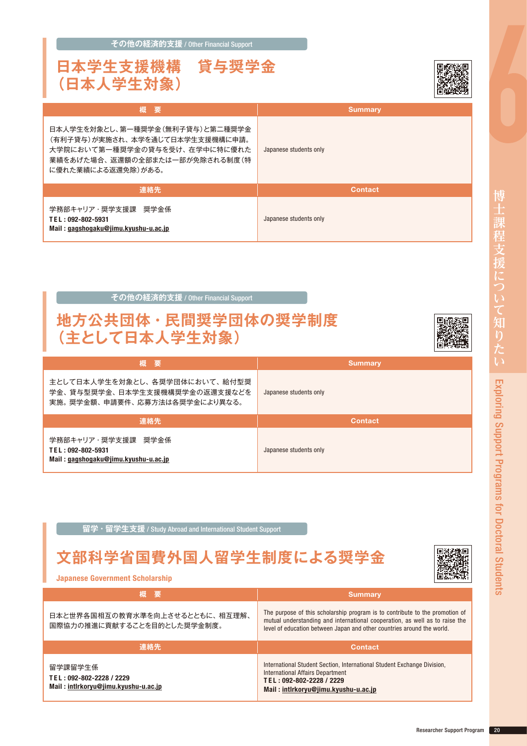| 日本人学生を対象とし、第一種奨学金(無利子貸与)と第二種奨学金<br>(有利子貸与)が実施され、 本学を通じて日本学生支援機構に申請。<br>大学院において第一種奨学金の貸与を受け、在学中に特に優れた<br>業績をあげた場合、 返還額の全部または一部が免除される制度 (特<br>に優れた業績による返還免除)がある。 | Japanese students only |
|----------------------------------------------------------------------------------------------------------------------------------------------------------------|------------------------|
| 連絡先                                                                                                                                                            | <b>Contact</b>         |
| 学務部キャリア・奨学支援課 奨学金係<br>TEL: 092-802-5931<br>Mail : g <u>agshogaku@jimu.kyushu-u.ac.jp</u>                                                                       | Japanese students only |
| その他の経済的支援 / Other Financial Support<br>地方公共団体・民間奨学団体の奨学制度<br>(主として日本人学生対象)                                                                                     |                        |
| 概<br>要                                                                                                                                                         | <b>Summary</b>         |

**その他の経済的支援** / Other Financial Support

| 概要                                                                                                                                                          | <b>Summary</b>         |
|-------------------------------------------------------------------------------------------------------------------------------------------------------------|------------------------|
| 日本人学生を対象とし、第一種奨学金(無利子貸与)と第二種奨学金<br>(有利子貸与)が実施され、本学を通じて日本学生支援機構に申請。<br>大学院において第一種奨学金の貸与を受け、在学中に特に優れた<br>業績をあげた場合、返還額の全部または一部が免除される制度(特<br>に優れた業績による返還免除)がある。 | Japanese students only |
| 連絡先                                                                                                                                                         | <b>Contact</b>         |
| 学務部キャリア・奨学支援課 奨学金係<br>TEL: 092-802-5931                                                                                                                     | Japanese students only |

| 概要                                                                                              | <b>Summary</b>         |
|-------------------------------------------------------------------------------------------------|------------------------|
| 主として日本人学生を対象とし、各奨学団体において、給付型奨<br>学金、貸与型奨学金、日本学生支援機構奨学金の返還支援などを<br>実施。奨学金額、申請要件、応募方法は各奨学金により異なる。 | Japanese students only |
| 連絡先                                                                                             | <b>Contact</b>         |
| 学務部キャリア・奨学支援課 奨学金係<br>TEL: 092-802-5931                                                         | Japanese students only |

**留学・留学生支援** / Study Abroad and International Student Support

### **文部科学省国費外国人留学生制度による奨学金**

Japanese Government Scholarship

| ↓概 要'                                                        | <b>Summary</b>                                                                                                                                                                                                                        |
|--------------------------------------------------------------|---------------------------------------------------------------------------------------------------------------------------------------------------------------------------------------------------------------------------------------|
| 日本と世界各国相互の教育水準を向上させるとともに、相互理解、<br>国際協力の推進に貢献することを目的とした奨学金制度。 | The purpose of this scholarship program is to contribute to the promotion of<br>mutual understanding and international cooperation, as well as to raise the<br>level of education between Japan and other countries around the world. |
| 連絡先                                                          | <b>Contact</b>                                                                                                                                                                                                                        |
| 留学課留学生係                                                      | International Student Section, International Student Exchange Division,                                                                                                                                                               |

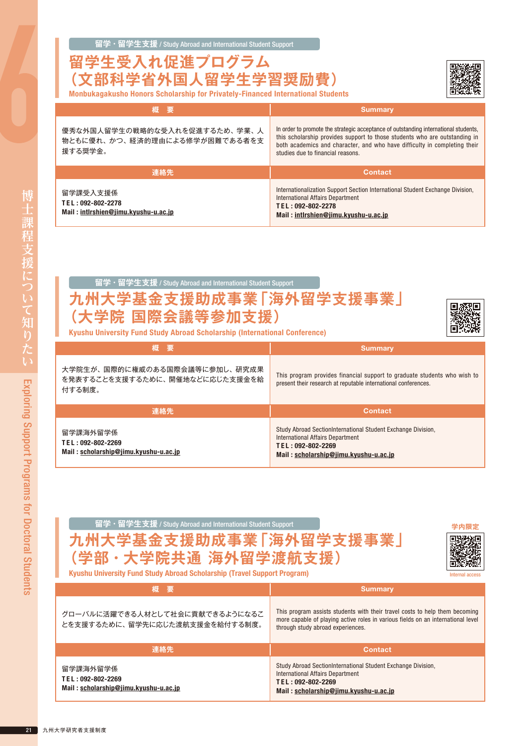#### **留学生受入れ促進プログラム 部科学省外国人留学生学習奨励** Monbukagakusho Honors Scholarship for Privately-Financed International Students

| 概要                                                                        | <b>Summary</b>                                                                                                                                                                                                                                                                      |
|---------------------------------------------------------------------------|-------------------------------------------------------------------------------------------------------------------------------------------------------------------------------------------------------------------------------------------------------------------------------------|
| 優秀な外国人留学生の戦略的な受入れを促進するため、学業、人<br>物ともに優れ、かつ、経済的理由による修学が困難である者を支<br>援する奨学金。 | In order to promote the strategic acceptance of outstanding international students,<br>this scholarship provides support to those students who are outstanding in<br>both academics and character, and who have difficulty in completing their<br>studies due to financial reasons. |
| 連絡先                                                                       | <b>Contact</b>                                                                                                                                                                                                                                                                      |
| 留学課受入支援係<br>TEL: 092-802-2278<br>Mail: intlrshien@jimu.kyushu-u.ac.jp     | Internationalization Support Section International Student Exchange Division,<br>International Affairs Department<br>TEL: 092-802-2278<br>Mail: intlrshien@jimu.kyushu-u.ac.jp                                                                                                      |

#### **留学・留学生支援** / Study Abroad and International Student Support

#### **九州大学基金支援助成事業「海外留学支援事業」 院 国際会議等参加支援)**



Kyushu University Fund Study Abroad Scholarship (International Conference)

| 、概要!                                                                      | <b>Summary</b>                                                                                                                                                 |
|---------------------------------------------------------------------------|----------------------------------------------------------------------------------------------------------------------------------------------------------------|
| 大学院生が、国際的に権威のある国際会議等に参加し、研究成果<br>を発表することを支援するために、開催地などに応じた支援金を給<br>付する制度。 | This program provides financial support to graduate students who wish to<br>present their research at reputable international conferences.                     |
| 連絡先                                                                       | <b>Contact</b>                                                                                                                                                 |
| 留学課海外留学係<br>TEL: 092-802-2269<br>Mail: scholarship@jimu.kyushu-u.ac.jp    | Study Abroad SectionInternational Student Exchange Division,<br>International Affairs Department<br>TEL: 092-802-2269<br>Mail: scholarship@iimu.kvushu-u.ac.ip |

**留学・留学生支援** / Study Abroad and International Student Support **[学内限定](https://www.isc.kyushu-u.ac.jp/intlweb/Qdai-only/study/gakunaishien.php)**

#### **九州大学基金支援助成事業「海外留学支援事業」** <sup>2</sup>部・大学院共通 海外留学渡|



Kyushu University Fund Study Abroad Scholarship (Travel Support Program)

| 【概】要】                                                                  | <b>Summary</b>                                                                                                                                                                                       |
|------------------------------------------------------------------------|------------------------------------------------------------------------------------------------------------------------------------------------------------------------------------------------------|
| グローバルに活躍できる人材として社会に貢献できるようになるこ<br>とを支援するために、留学先に応じた渡航支援金を給付する制度。       | This program assists students with their travel costs to help them becoming<br>more capable of playing active roles in various fields on an international level<br>through study abroad experiences. |
| 連絡先                                                                    | <b>Contact</b>                                                                                                                                                                                       |
| 留学課海外留学係<br>TEL: 092-802-2269<br>Mail: scholarship@jimu.kyushu-u.ac.jp | Study Abroad SectionInternational Student Exchange Division,<br>International Affairs Department<br>TEL: 092-802-2269<br>Mail · scholarshin@jimu kyushu-u ac in                                      |

Mail : [scholarship@jimu.kyushu-u.ac.jp](mailto:scholarship%40jimu.kyushu-u.ac.jp?subject=)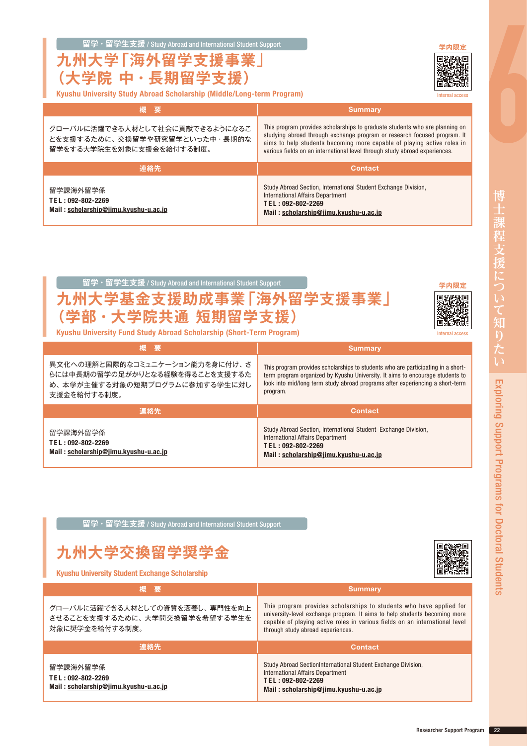Researcher Support Program 22

|--|

**九州大学「海外留学支援事業」 (大学院 中・長期留学支援)**

| Kyushu University Study Abroad Scholarship (Middle/Long-term Program) |  |  |
|-----------------------------------------------------------------------|--|--|

| 概 要'                                                                                        | <b>Summary</b>                                                                                                                                                                                                                                                                                                  |
|---------------------------------------------------------------------------------------------|-----------------------------------------------------------------------------------------------------------------------------------------------------------------------------------------------------------------------------------------------------------------------------------------------------------------|
| グローバルに活躍できる人材として社会に貢献できるようになるこ<br>とを支援するために、交換留学や研究留学といった中・長期的な<br>留学をする大学院生を対象に支援金を給付する制度。 | This program provides scholarships to graduate students who are planning on<br>studying abroad through exchange program or research focused program. It<br>aims to help students becoming more capable of playing active roles in<br>various fields on an international level through study abroad experiences. |
| 連絡先                                                                                         | <b>Contact</b>                                                                                                                                                                                                                                                                                                  |
| 留学課海外留学係<br>TEL: 092-802-2269<br>Mail: scholarship@jimu.kyushu-u.ac.jp                      | Study Abroad Section, International Student Exchange Division,<br>International Affairs Department<br>TEL: 092-802-2269<br>Mail: scholarship@jimu.kyushu-u.ac.jp                                                                                                                                                |



**留学・留学生支援** / Study Abroad and International Student Support

## **九州大学交換留学奨学金**

Kyushu University Student Exchange Scholarship

| Ⅰ概 要                                                                              | <b>Summary</b>                                                                                                                                                                                                                                                       |
|-----------------------------------------------------------------------------------|----------------------------------------------------------------------------------------------------------------------------------------------------------------------------------------------------------------------------------------------------------------------|
| グローバルに活躍できる人材としての資質を涵養し、専門性を向上<br>させることを支援するために、大学間交換留学を希望する学生を<br>対象に奨学金を給付する制度。 | This program provides scholarships to students who have applied for<br>university-level exchange program. It aims to help students becoming more<br>capable of playing active roles in various fields on an international level<br>through study abroad experiences. |
| 連絡先                                                                               | <b>Contact</b>                                                                                                                                                                                                                                                       |
| 留学課海外留学係<br>TEL: 092-802-2269<br>Mail: scholarship@jimu.kyushu-u.ac.jp            | Study Abroad SectionInternational Student Exchange Division,<br>International Affairs Department<br>TEL: 092-802-2269<br>Mail: scholarship@jimu.kyushu-u.ac.jp                                                                                                       |



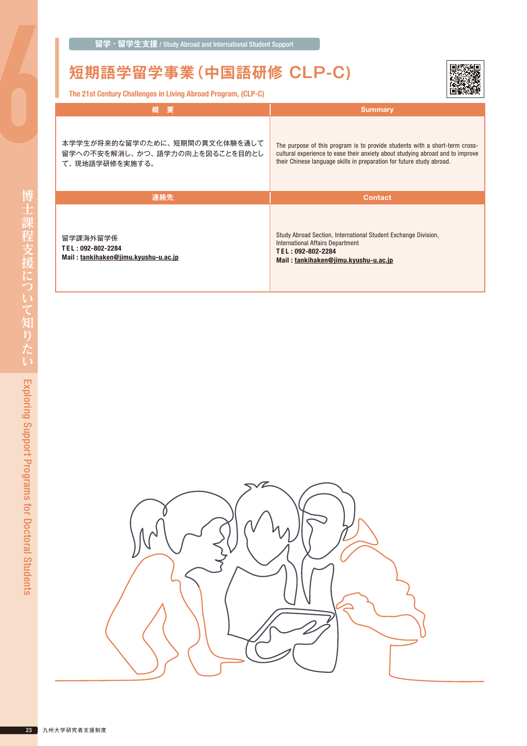### **短期語学留学事業(中国語研修 CLP-C)**

The 21st Century Challenges in Living Abroad Program, (CLP-C)



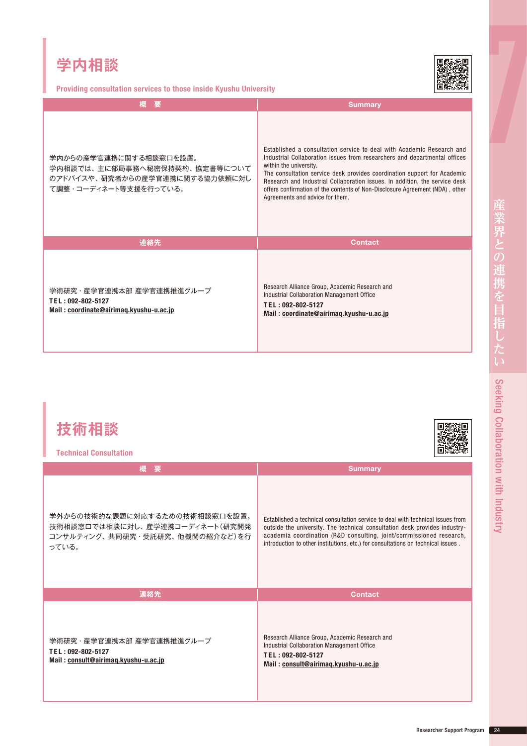Providing consultation services to those inside Kyushu University

| 要<br>概                                                                                                             | <b>Summary</b>                                                                                                                                                                                                                                                                                                                                                                                                                                             |
|--------------------------------------------------------------------------------------------------------------------|------------------------------------------------------------------------------------------------------------------------------------------------------------------------------------------------------------------------------------------------------------------------------------------------------------------------------------------------------------------------------------------------------------------------------------------------------------|
| 学内からの産学官連携に関する相談窓口を設置。<br>学内相談では、主に部局事務へ秘密保持契約、協定書等について<br>のアドバイスや、研究者からの産学官連携に関する協力依頼に対し<br>て調整・コーディネート等支援を行っている。 | Established a consultation service to deal with Academic Research and<br>Industrial Collaboration issues from researchers and departmental offices<br>within the university.<br>The consultation service desk provides coordination support for Academic<br>Research and Industrial Collaboration issues. In addition, the service desk<br>offers confirmation of the contents of Non-Disclosure Agreement (NDA), other<br>Agreements and advice for them. |
| 連絡先                                                                                                                | <b>Contact</b>                                                                                                                                                                                                                                                                                                                                                                                                                                             |
| 学術研究・産学官連携本部 産学官連携推進グループ<br>TEL: 092-802-5127<br>Mail: coordinate@airimag.kyushu-u.ac.jp                           | Research Alliance Group, Academic Research and<br>Industrial Collaboration Management Office<br>TEL: 092-802-5127<br>Mail: coordinate@airimag.kyushu-u.ac.jp                                                                                                                                                                                                                                                                                               |

| 技術相談<br><b>Technical Consultation</b>                                                                      |                                                                                                                                                                                                                                                                                                                          |
|------------------------------------------------------------------------------------------------------------|--------------------------------------------------------------------------------------------------------------------------------------------------------------------------------------------------------------------------------------------------------------------------------------------------------------------------|
| 概<br>要                                                                                                     | <b>Summary</b>                                                                                                                                                                                                                                                                                                           |
| 学外からの技術的な課題に対応するための技術相談窓口を設置。<br>技術相談窓口では相談に対し、産学連携コーディネート(研究開発<br>コンサルティング、共同研究・受託研究、他機関の紹介など)を行<br>っている。 | Established a technical consultation service to deal with technical issues from<br>outside the university. The technical consultation desk provides industry-<br>academia coordination (R&D consulting, joint/commissioned research,<br>introduction to other institutions, etc.) for consultations on technical issues. |
| 連絡先                                                                                                        | <b>Contact</b>                                                                                                                                                                                                                                                                                                           |
| 学術研究・産学官連携本部 産学官連携推進グループ<br>TEL: 092-802-5127<br>Mail: consult@airimag.kyushu-u.ac.jp                      | Research Alliance Group, Academic Research and<br>Industrial Collaboration Management Office<br>TEL: 092-802-5127<br>Mail: consult@airimag.kyushu-u.ac.jp                                                                                                                                                                |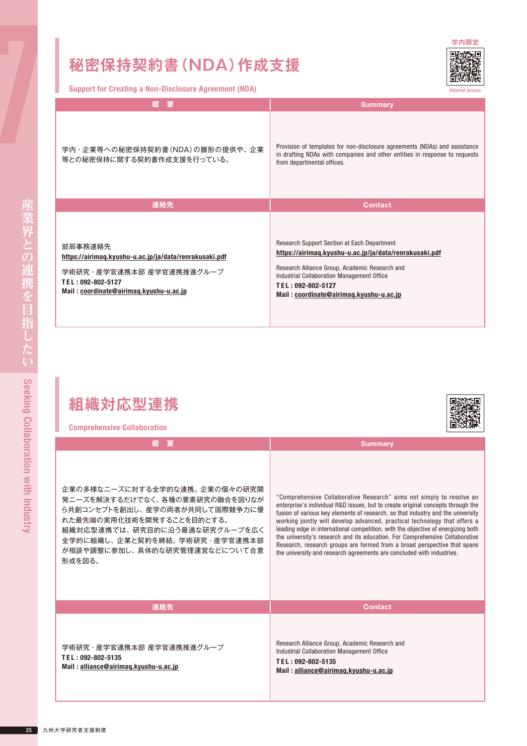Support for Creating a Non-Disclosure Agreement (NDA)

Internal access

| 概<br>要                                                                                                                                                        | <b>Summary</b>                                                                                                                                                                                                                                                        |
|---------------------------------------------------------------------------------------------------------------------------------------------------------------|-----------------------------------------------------------------------------------------------------------------------------------------------------------------------------------------------------------------------------------------------------------------------|
| 学内 · 企業等への秘密保持契約書(NDA)の雛形の提供や、企業<br>等との秘密保持に関する契約書作成支援を行っている。                                                                                                 | Provision of templates for non-disclosure agreements (NDAs) and assistance<br>in drafting NDAs with companies and other entities in response to requests<br>from departmental offices.                                                                                |
| 連絡先                                                                                                                                                           | <b>Contact</b>                                                                                                                                                                                                                                                        |
| 部局事務連絡先<br>https://airimag.kyushu-u.ac.jp/ja/data/renrakusaki.pdf<br>学術研究・産学官連携本部 産学官連携推進グループ<br>TEL: 092-802-5127<br>Mail: coordinate@airimaq.kyushu-u.ac.jp | Research Support Section at Each Department<br>https://airimag.kyushu-u.ac.jp/ja/data/renrakusaki.pdf<br>Research Alliance Group, Academic Research and<br>Industrial Collaboration Management Office<br>TEL: 092-802-5127<br>Mail: coordinate@airimag.kyushu-u.ac.jp |

### **組織対応型連携**

| <b>Comprehensive Collaboration</b>                                                                                                                                                                                                          | 回怒恐怖                                                                                                                                                                                                                                                                                                                                                                                                                                                                                                                                                                                                                                             |
|---------------------------------------------------------------------------------------------------------------------------------------------------------------------------------------------------------------------------------------------|--------------------------------------------------------------------------------------------------------------------------------------------------------------------------------------------------------------------------------------------------------------------------------------------------------------------------------------------------------------------------------------------------------------------------------------------------------------------------------------------------------------------------------------------------------------------------------------------------------------------------------------------------|
| 概要                                                                                                                                                                                                                                          | <b>Summary</b>                                                                                                                                                                                                                                                                                                                                                                                                                                                                                                                                                                                                                                   |
| 企業の多様なニーズに対する全学的な連携。企業の個々の研究開<br>発ニーズを解決するだけでなく、各種の要素研究の融合を図りなが<br>ら共創コンセプトを創出し、産学の両者が共同して国際競争力に優<br>れた最先端の実用化技術を開発することを目的とする。<br>組織対応型連携では、研究目的に沿う最適な研究グループを広く<br>全学的に組織し、企業と契約を締結。学術研究・産学官連携本部<br>が相談や調整に参加し、具体的な研究管理運営などについて合意<br>形成を図る。 | "Comprehensive Collaborative Research" aims not simply to resolve an<br>enterprise's individual R&D issues, but to create original concepts through the<br>fusion of various key elements of research, so that industry and the university<br>working jointly will develop advanced, practical technology that offers a<br>leading edge in international competition, with the objective of energizing both<br>the university's research and its education. For Comprehensive Collaborative<br>Research, research groups are formed from a broad perspective that spans<br>the university and research agreements are concluded with industries. |
| 連絡先                                                                                                                                                                                                                                         | <b>Contact</b>                                                                                                                                                                                                                                                                                                                                                                                                                                                                                                                                                                                                                                   |
| 学術研究 · 産学官連携本部 産学官連携推進グループ<br>TEL: 092-802-5135<br>Mail: alliance@airimag.kyushu-u.ac.jp                                                                                                                                                    | Research Alliance Group, Academic Research and<br>Industrial Collaboration Management Office<br>TEL: 092-802-5135<br>Mail: alliance@airimag.kyushu-u.ac.jp                                                                                                                                                                                                                                                                                                                                                                                                                                                                                       |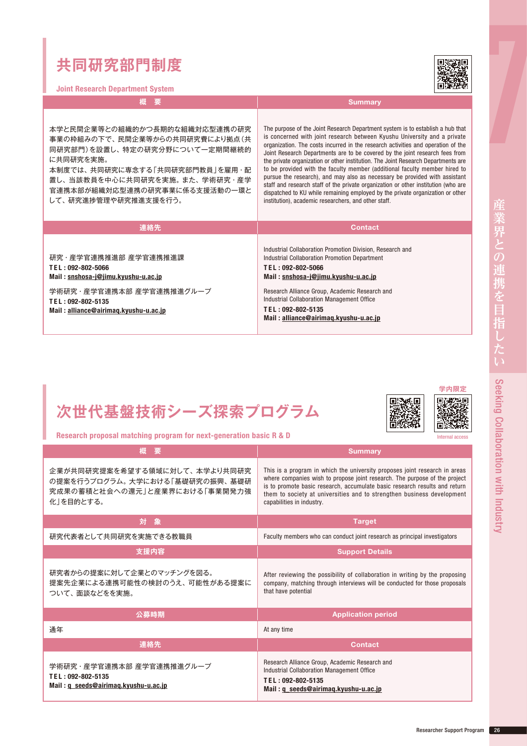### **共同研究部門制度**

Joint Research Department System

**概 要 Summary** 

本学と民間企業等との組織的かつ長期的な組織対応型連携の研究 事業の枠組みの下で、民間企業等からの共同研究費により拠点(共 同研究部門)を設置し、特定の研究分野について一定期間継続的 に共同研究を実施。

本制度では、共同研究に専念する「共同研究部門教員」を雇用・配 置し、当該教員を中心に共同研究を実施。また、学術研究・産学 官連携本部が組織対応型連携の研究事業に係る支援活動の一環と して、研究進捗管理や研究推進支援を行う。

The purpose of the Joint Research Department system is to establish a hub that is concerned with joint research between Kyushu University and a private organization. The costs incurred in the research activities and operation of the Joint Research Departments are to be covered by the joint research fees from the private organization or other institution. The Joint Research Departments are to be provided with the faculty member (additional faculty member hired to pursue the research), and may also as necessary be provided with assistant staff and research staff of the private organization or other institution (who are dispatched to KU while remaining employed by the private organization or other institution), academic researchers, and other staff.

| 連絡先                                                                                      | <b>Contact</b>                                                                                                                                                         |
|------------------------------------------------------------------------------------------|------------------------------------------------------------------------------------------------------------------------------------------------------------------------|
| 研究 ・ 産学官連携推進部 産学官連携推進課<br>TEL: 092-802-5066<br>Mail: snshosa-j@jimu.kyushu-u.ac.jp       | Industrial Collaboration Promotion Division. Research and<br>Industrial Collaboration Promotion Department<br>TEL: 092-802-5066<br>Mail: snshosa-j@jimu.kyushu-u.ac.jp |
| 学術研究 · 産学官連携本部 産学官連携推進グループ<br>TEL: 092-802-5135<br>Mail: alliance@airimag.kyushu-u.ac.jp | Research Alliance Group, Academic Research and<br>Industrial Collaboration Management Office<br>TEL: 092-802-5135<br>Mail: alliance@airimag.kyushu-u.ac.jp             |

**概 要** Summary

### **次世代基盤技術シーズ探索プログラム**

Research proposal matching program for next-generation basic R & D



Internal access

企業が共同研究提案を希望する領域に対して、本学より共同研究 の提案を行うプログラム。大学における「基礎研究の振興、基礎研 究成果の蓄積と社会への還元」と産業界における「事業開発力強 化」を目的とする。 This is a program in which the university proposes joint research in areas where companies wish to propose joint research. The purpose of the project is to promote basic research, accumulate basic research results and return them to society at universities and to strengthen business development capabilities in industry. **対 象** Target 研究代表者として共同研究を実施できる教職員 Faculty members who can conduct joint research as principal investigators **支援内容** Support Details 研究者からの提案に対して企業とのマッチングを図る。 提案先企業による連携可能性の検討のうえ、可能性がある提案に ついて、面談などをを実施。 After reviewing the possibility of collaboration in writing by the proposing company, matching through interviews will be conducted for those proposals that have potential

| 公募時期                                                                                  | <b>Application period</b>                                                                                                                                 |
|---------------------------------------------------------------------------------------|-----------------------------------------------------------------------------------------------------------------------------------------------------------|
| 通年                                                                                    | At any time                                                                                                                                               |
| 連絡先                                                                                   | <b>Contact</b>                                                                                                                                            |
| 学術研究・産学官連携本部 産学官連携推進グループ<br>TEL: 092-802-5135<br>Mail: q seeds@airimag.kyushu-u.ac.jp | Research Alliance Group, Academic Research and<br>Industrial Collaboration Management Office<br>TEL: 092-802-5135<br>Mail: q seeds@airimag.kyushu-u.ac.jp |

Researcher Support Program 26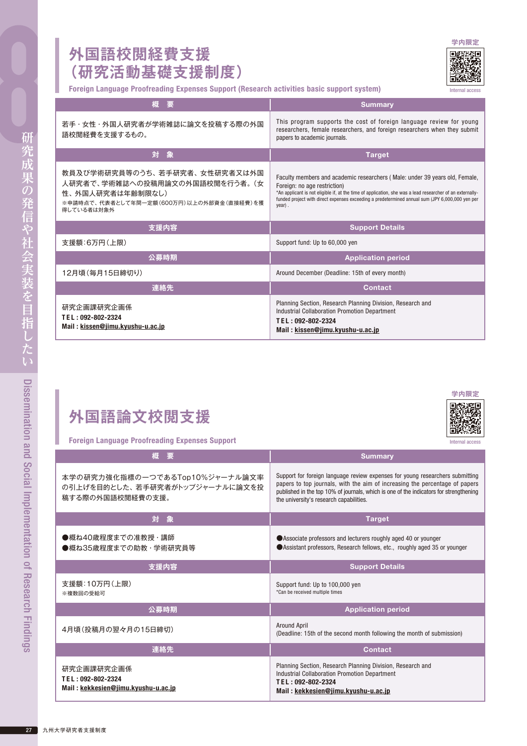#### **外国語校閲経費支援 (研究活動基礎支援制度)**

Foreign Language Proofreading Expenses Support (Research activities basic support system)

| 概<br>要                                                                                                                                        | <b>Summary</b>                                                                                                                                                                                                                                                                                                                           |
|-----------------------------------------------------------------------------------------------------------------------------------------------|------------------------------------------------------------------------------------------------------------------------------------------------------------------------------------------------------------------------------------------------------------------------------------------------------------------------------------------|
| 若手・女性・外国人研究者が学術雑誌に論文を投稿する際の外国<br>語校閲経費を支援するもの。                                                                                                | This program supports the cost of foreign language review for young<br>researchers, female researchers, and foreign researchers when they submit<br>papers to academic journals.                                                                                                                                                         |
| 対象                                                                                                                                            | <b>Target</b>                                                                                                                                                                                                                                                                                                                            |
| 教員及び学術研究員等のうち、若手研究者、女性研究者又は外国<br>人研究者で、学術雑誌への投稿用論文の外国語校閲を行う者。(女<br>性、外国人研究者は年齢制限なし)<br>※申請時点で、代表者として年間一定額(600万円)以上の外部資金(直接経費)を獲<br>得している者は対象外 | Faculty members and academic researchers (Male: under 39 years old, Female,<br>Foreign: no age restriction)<br>*An applicant is not eligible if, at the time of application, she was a lead researcher of an externally-<br>funded project with direct expenses exceeding a predetermined annual sum (JPY 6,000,000 yen per<br>$year)$ . |
| 支援内容                                                                                                                                          | <b>Support Details</b>                                                                                                                                                                                                                                                                                                                   |
| 支援額:6万円(上限)                                                                                                                                   | Support fund: Up to 60,000 yen                                                                                                                                                                                                                                                                                                           |
| 公募時期                                                                                                                                          | <b>Application period</b>                                                                                                                                                                                                                                                                                                                |
| 12月頃 (毎月15日締切り)                                                                                                                               | Around December (Deadline: 15th of every month)                                                                                                                                                                                                                                                                                          |
| 連絡先                                                                                                                                           | <b>Contact</b>                                                                                                                                                                                                                                                                                                                           |
| 研究企画課研究企画係                                                                                                                                    | Planning Section, Research Planning Division, Research and<br>Industrial Callaboration Dramation Department                                                                                                                                                                                                                              |

| 研究企画課研究企画係                       | Planning Section, Research Planning Division, Research and |
|----------------------------------|------------------------------------------------------------|
| TEL:092-802-2324                 | Industrial Collaboration Promotion Department              |
| Mail: kissen@jimu.kyushu-u.ac.jp | TEL:092-802-2324                                           |
|                                  | Mail: kissen@jimu.kyushu-u.ac.jp                           |

#### Foreign Language Proofreading Expenses Support

| 概<br>要                                                                               | <b>Summary</b>                                                                                                                                                                                                                                                                                    |
|--------------------------------------------------------------------------------------|---------------------------------------------------------------------------------------------------------------------------------------------------------------------------------------------------------------------------------------------------------------------------------------------------|
| 本学の研究力強化指標の一つであるTop10%ジャーナル論文率<br>の引上げを目的とした、若手研究者がトップジャーナルに論文を投<br>稿する際の外国語校閲経費の支援。 | Support for foreign language review expenses for young researchers submitting<br>papers to top journals, with the aim of increasing the percentage of papers<br>published in the top 10% of journals, which is one of the indicators for strengthening<br>the university's research capabilities. |
| 対象                                                                                   | <b>Target</b>                                                                                                                                                                                                                                                                                     |
| ●概ね40歳程度までの准教授・講師<br>●概ね35歳程度までの助教・学術研究員等                                            | Associate professors and lecturers roughly aged 40 or younger<br>Assistant professors, Research fellows, etc., roughly aged 35 or younger                                                                                                                                                         |
| 支援内容                                                                                 | <b>Support Details</b>                                                                                                                                                                                                                                                                            |
| 支援額:10万円(上限)<br>※複数回の受給可                                                             | Support fund: Up to 100,000 yen<br>*Can be received multiple times                                                                                                                                                                                                                                |
| 公募時期                                                                                 | <b>Application period</b>                                                                                                                                                                                                                                                                         |
| 4月頃(投稿月の翌々月の15日締切)                                                                   | Around April<br>(Deadline: 15th of the second month following the month of submission)                                                                                                                                                                                                            |
| 連絡先                                                                                  | <b>Contact</b>                                                                                                                                                                                                                                                                                    |
| 研究企画課研究企画係<br>TEL: 092-802-2324<br>Mail: kekkesien@jimu.kyushu-u.ac.jp               | Planning Section, Research Planning Division, Research and<br><b>Industrial Collaboration Promotion Department</b><br>TEL: 092-802-2324<br>Mail: kekkesien@jimu.kyushu-u.ac.jp                                                                                                                    |

**[学内限定](https://airimaq.kyushu-u.ac.jp/ja/teacher/page.php?code=81&side=02)**

Internal access



Internal access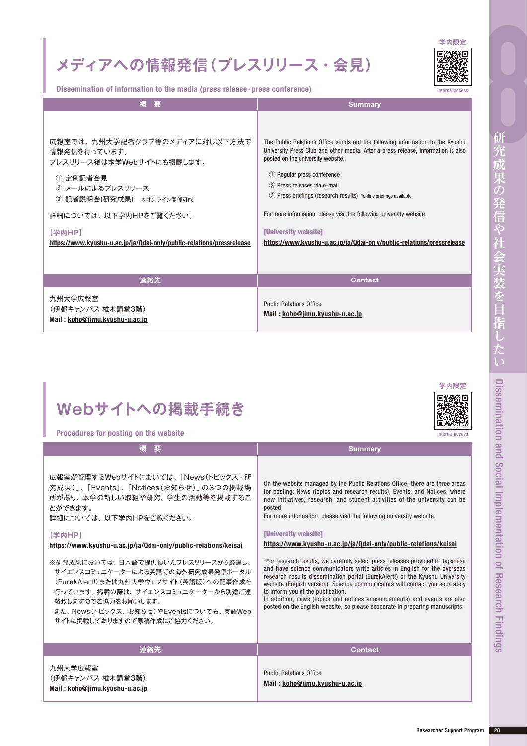## **メディアへの情報発信(プレスリリース・会見)**



Dissemination of information to the media (press release・press conference)

| 概<br>要                                                                                                                                                                                                                                             | <b>Summary</b>                                                                                                                                                                                                                                                                                                                                                                                                                                                                                                               |
|----------------------------------------------------------------------------------------------------------------------------------------------------------------------------------------------------------------------------------------------------|------------------------------------------------------------------------------------------------------------------------------------------------------------------------------------------------------------------------------------------------------------------------------------------------------------------------------------------------------------------------------------------------------------------------------------------------------------------------------------------------------------------------------|
| 広報室では、九州大学記者クラブ等のメディアに対し以下方法で<br>情報発信を行っています。<br>プレスリリース後は本学Webサイトにも掲載します。<br>① 定例記者会見<br>② メールによるプレスリリース<br>③ 記者説明会(研究成果) ※オンライン開催可能<br>詳細については、以下学内HPをご覧ください。<br>【学内HP】<br>https://www.kyushu-u.ac.jp/ja/Qdai-only/public-relations/pressrelease | The Public Relations Office sends out the following information to the Kyushu<br>University Press Club and other media. After a press release, information is also<br>posted on the university website.<br>1 Regular press conference<br>(2) Press releases via e-mail<br>(3) Press briefings (research results) *online briefings available<br>For more information, please visit the following university website.<br><b>[University website]</b><br>https://www.kyushu-u.ac.jp/ja/Qdai-only/public-relations/pressrelease |
| 連絡先                                                                                                                                                                                                                                                | <b>Contact</b>                                                                                                                                                                                                                                                                                                                                                                                                                                                                                                               |
| 九州大学広報室<br>(伊都キャンパス 椎木講堂3階)<br>Mail: koho@jimu.kyushu-u.ac.jp                                                                                                                                                                                      | <b>Public Relations Office</b><br>Mail: koho@jimu.kyushu-u.ac.jp                                                                                                                                                                                                                                                                                                                                                                                                                                                             |

### **Webサイトへの掲載手続き**

| ı |
|---|

Internal access

Procedures for posting on the website

| 概要                                                                                                                                                                                                                                                                                                                                                                                                                                                                                 | <b>Summary</b>                                                                                                                                                                                                                                                                                                                                                                                                                                                                                                                                                                                                                                                                                                                                                                                                                                                                                                                                          |
|------------------------------------------------------------------------------------------------------------------------------------------------------------------------------------------------------------------------------------------------------------------------------------------------------------------------------------------------------------------------------------------------------------------------------------------------------------------------------------|---------------------------------------------------------------------------------------------------------------------------------------------------------------------------------------------------------------------------------------------------------------------------------------------------------------------------------------------------------------------------------------------------------------------------------------------------------------------------------------------------------------------------------------------------------------------------------------------------------------------------------------------------------------------------------------------------------------------------------------------------------------------------------------------------------------------------------------------------------------------------------------------------------------------------------------------------------|
| 広報室が管理するWebサイトにおいては、「News(トピックス·研<br>究成果)」、「Events」、「Notices(お知らせ)」の3つの掲載場<br>所があり、本学の新しい取組や研究、学生の活動等を掲載するこ<br>とができます。<br>詳細については、以下学内HPをご覧ください。<br>【学内HP】<br>https://www.kyushu-u.ac.jp/ja/Qdai-only/public-relations/keisai<br>※研究成果においては、日本語で提供頂いたプレスリリースから厳選し、<br>サイエンスコミュニケーターによる英語での海外研究成果発信ポータル<br>(EurekAlert!)または九州大学ウェブサイト(英語版)への記事作成を<br>行っています。掲載の際は、サイエンスコミュニケーターから別途ご連<br>絡致しますのでご協力をお願いします。<br>また、News(トピックス、お知らせ)やEventsについても、英語Web<br>サイトに掲載しておりますので原稿作成にご協力ください。 | On the website managed by the Public Relations Office, there are three areas<br>for posting: News (topics and research results), Events, and Notices, where<br>new initiatives, research, and student activities of the university can be<br>posted.<br>For more information, please visit the following university website.<br>[University website]<br>https://www.kyushu-u.ac.jp/ja/Qdai-only/public-relations/keisai<br>*For research results, we carefully select press releases provided in Japanese<br>and have science communicators write articles in English for the overseas<br>research results dissemination portal (EurekAlert!) or the Kyushu University<br>website (English version). Science communicators will contact you separately<br>to inform you of the publication.<br>In addition, news (topics and notices announcements) and events are also<br>posted on the English website, so please cooperate in preparing manuscripts. |
| 連絡先                                                                                                                                                                                                                                                                                                                                                                                                                                                                                | <b>Contact</b>                                                                                                                                                                                                                                                                                                                                                                                                                                                                                                                                                                                                                                                                                                                                                                                                                                                                                                                                          |
| 九州大学広報室<br>(伊都キャンパス 椎木講堂3階)<br>Mail: koho@jimu.kyushu-u.ac.jp                                                                                                                                                                                                                                                                                                                                                                                                                      | <b>Public Relations Office</b><br>Mail: koho@jimu.kyushu-u.ac.jp                                                                                                                                                                                                                                                                                                                                                                                                                                                                                                                                                                                                                                                                                                                                                                                                                                                                                        |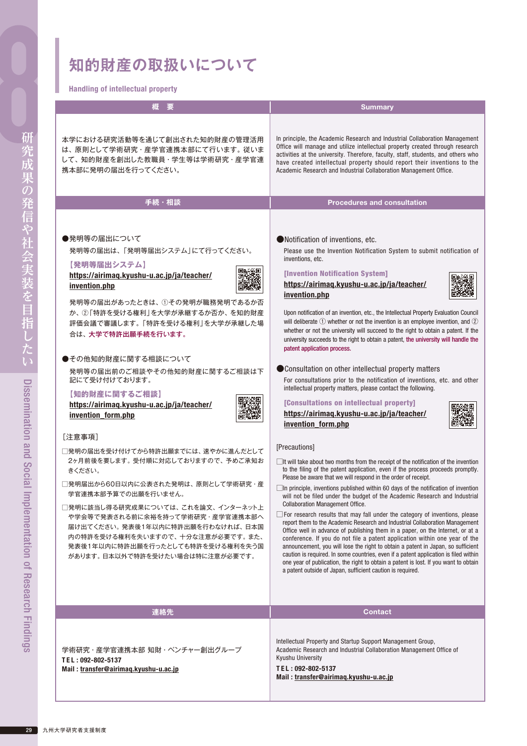Handling of intellectual property

| <b>Handling of Intenectual property</b>                                                                                                                                                                                                                                                                                                                                                                                                                                                                                                                                                                                                                                                                                                                                                            |                                                                                                                                                                                                                                                                                                                                                                                                                                                                                                                                                                                                                                                                                                                                                                                                                                                                                                                                                                                                                                                                                                                                                                                                                                                                                                                                                                                                                                                                                                                                                                                                                                                                                                                                                                                                                                                                                                                                                                                                                                                                                                                               |
|----------------------------------------------------------------------------------------------------------------------------------------------------------------------------------------------------------------------------------------------------------------------------------------------------------------------------------------------------------------------------------------------------------------------------------------------------------------------------------------------------------------------------------------------------------------------------------------------------------------------------------------------------------------------------------------------------------------------------------------------------------------------------------------------------|-------------------------------------------------------------------------------------------------------------------------------------------------------------------------------------------------------------------------------------------------------------------------------------------------------------------------------------------------------------------------------------------------------------------------------------------------------------------------------------------------------------------------------------------------------------------------------------------------------------------------------------------------------------------------------------------------------------------------------------------------------------------------------------------------------------------------------------------------------------------------------------------------------------------------------------------------------------------------------------------------------------------------------------------------------------------------------------------------------------------------------------------------------------------------------------------------------------------------------------------------------------------------------------------------------------------------------------------------------------------------------------------------------------------------------------------------------------------------------------------------------------------------------------------------------------------------------------------------------------------------------------------------------------------------------------------------------------------------------------------------------------------------------------------------------------------------------------------------------------------------------------------------------------------------------------------------------------------------------------------------------------------------------------------------------------------------------------------------------------------------------|
| 概                                                                                                                                                                                                                                                                                                                                                                                                                                                                                                                                                                                                                                                                                                                                                                                                  | <b>Summary</b>                                                                                                                                                                                                                                                                                                                                                                                                                                                                                                                                                                                                                                                                                                                                                                                                                                                                                                                                                                                                                                                                                                                                                                                                                                                                                                                                                                                                                                                                                                                                                                                                                                                                                                                                                                                                                                                                                                                                                                                                                                                                                                                |
| 本学における研究活動等を通じて創出された知的財産の管理活用<br>は、原則として学術研究·産学官連携本部にて行います。従いま<br>して、知的財産を創出した教職員·学生等は学術研究·産学官連<br>携本部に発明の届出を行ってください。                                                                                                                                                                                                                                                                                                                                                                                                                                                                                                                                                                                                                                                                              | In principle, the Academic Research and Industrial Collaboration Management<br>Office will manage and utilize intellectual property created through research<br>activities at the university. Therefore, faculty, staff, students, and others who<br>have created intellectual property should report their inventions to the<br>Academic Research and Industrial Collaboration Management Office.                                                                                                                                                                                                                                                                                                                                                                                                                                                                                                                                                                                                                                                                                                                                                                                                                                                                                                                                                                                                                                                                                                                                                                                                                                                                                                                                                                                                                                                                                                                                                                                                                                                                                                                            |
| 手続・相談                                                                                                                                                                                                                                                                                                                                                                                                                                                                                                                                                                                                                                                                                                                                                                                              | <b>Procedures and consultation</b>                                                                                                                                                                                                                                                                                                                                                                                                                                                                                                                                                                                                                                                                                                                                                                                                                                                                                                                                                                                                                                                                                                                                                                                                                                                                                                                                                                                                                                                                                                                                                                                                                                                                                                                                                                                                                                                                                                                                                                                                                                                                                            |
| ●発明等の届出について<br>発明等の届出は、「発明等届出システム」にて行ってください。<br>【発明等届出システム】<br>https://airimaq.kyushu-u.ac.jp/ja/teacher/<br>invention.php<br>発明等の届出があったときは、①その発明が職務発明であるか否<br>か、②「特許を受ける権利」を大学が承継するか否か、を知的財産<br>評価会議で審議します。「特許を受ける権利」を大学が承継した場<br>合は、大学で特許出願手続を行います。<br>●その他知的財産に関する相談について<br>発明等の届出前のご相談やその他知的財産に関するご相談は下<br>記にて受け付けております。<br>【知的財産に関するご相談】<br>https://airimaq.kyushu-u.ac.jp/ja/teacher/<br>invention_form.php<br>[注意事項]<br>□発明の届出を受け付けてから特許出願までには、速やかに進んだとして<br>2ヶ月前後を要します。受付順に対応しておりますので、予めご承知お<br>きください。<br>∃発明届出から60日以内に公表された発明は、 原則として学術研究・産<br>学官連携本部予算での出願を行いません。<br>□発明に該当し得る研究成果については、これを論文、インターネット上<br>や学会等で発表される前に余裕を持って学術研究·産学官連携本部へ<br>届け出てください。発表後1年以内に特許出願を行わなければ、日本国<br>内の特許を受ける権利を失いますので、十分な注意が必要です。また、<br>発表後1年以内に特許出願を行ったとしても特許を受ける権利を失う国<br>があります。日本以外で特許を受けたい場合は特に注意が必要です。 | ●Notification of inventions, etc.<br>Please use the Invention Notification System to submit notification of<br>inventions, etc.<br><b>[Invention Notification System]</b><br>https://airimaq.kyushu-u.ac.jp/ja/teacher/<br>invention.php<br>Upon notification of an invention, etc., the Intellectual Property Evaluation Council<br>will deliberate $\odot$ whether or not the invention is an employee invention, and $\odot$<br>whether or not the university will succeed to the right to obtain a patent. If the<br>university succeeds to the right to obtain a patent, the university will handle the<br>patent application process.<br>● Consultation on other intellectual property matters<br>For consultations prior to the notification of inventions, etc. and other<br>intellectual property matters, please contact the following.<br>[Consultations on intellectual property]<br>https://airimaq.kyushu-u.ac.jp/ja/teacher/<br>invention form.php<br>[Precautions]<br>$\Box$ It will take about two months from the receipt of the notification of the invention<br>to the filing of the patent application, even if the process proceeds promptly.<br>Please be aware that we will respond in the order of receipt.<br>□ In principle, inventions published within 60 days of the notification of invention<br>will not be filed under the budget of the Academic Research and Industrial<br><b>Collaboration Management Office.</b><br>$\Box$ For research results that may fall under the category of inventions, please<br>report them to the Academic Research and Industrial Collaboration Management<br>Office well in advance of publishing them in a paper, on the Internet, or at a<br>conference. If you do not file a patent application within one year of the<br>announcement, you will lose the right to obtain a patent in Japan, so sufficient<br>caution is required. In some countries, even if a patent application is filed within<br>one year of publication, the right to obtain a patent is lost. If you want to obtain<br>a patent outside of Japan, sufficient caution is required. |
| 連絡先                                                                                                                                                                                                                                                                                                                                                                                                                                                                                                                                                                                                                                                                                                                                                                                                | <b>Contact</b>                                                                                                                                                                                                                                                                                                                                                                                                                                                                                                                                                                                                                                                                                                                                                                                                                                                                                                                                                                                                                                                                                                                                                                                                                                                                                                                                                                                                                                                                                                                                                                                                                                                                                                                                                                                                                                                                                                                                                                                                                                                                                                                |
|                                                                                                                                                                                                                                                                                                                                                                                                                                                                                                                                                                                                                                                                                                                                                                                                    |                                                                                                                                                                                                                                                                                                                                                                                                                                                                                                                                                                                                                                                                                                                                                                                                                                                                                                                                                                                                                                                                                                                                                                                                                                                                                                                                                                                                                                                                                                                                                                                                                                                                                                                                                                                                                                                                                                                                                                                                                                                                                                                               |
| 学術研究・産学官連携本部 知財・ベンチャー創出グループ<br>TEL: 092-802-5137<br>Mail: transfer@airimaq.kyushu-u.ac.jp                                                                                                                                                                                                                                                                                                                                                                                                                                                                                                                                                                                                                                                                                                          | Intellectual Property and Startup Support Management Group,<br>Academic Research and Industrial Collaboration Management Office of<br>Kyushu University<br>TEL: 092-802-5137<br>Mail: transfer@airimaq.kyushu-u.ac.jp                                                                                                                                                                                                                                                                                                                                                                                                                                                                                                                                                                                                                                                                                                                                                                                                                                                                                                                                                                                                                                                                                                                                                                                                                                                                                                                                                                                                                                                                                                                                                                                                                                                                                                                                                                                                                                                                                                         |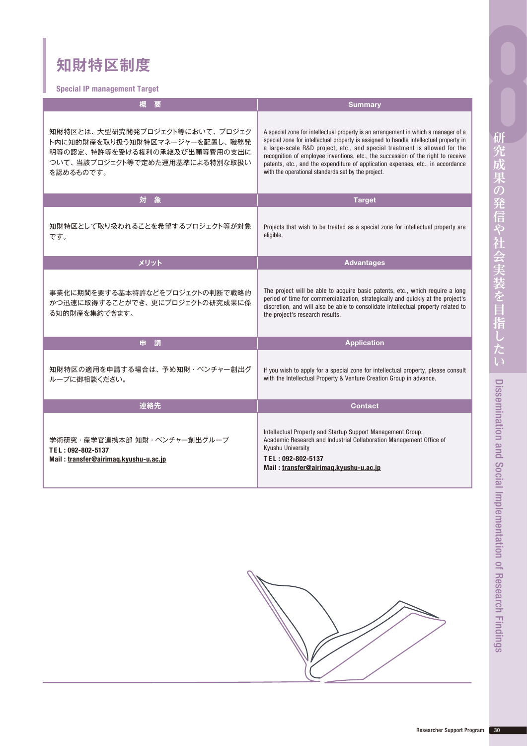### **知財特区制度**

Special IP management Target

| 櫻<br>一要                                                                                                                                          | <b>Summary</b>                                                                                                                                                                                                                                                                                                                                                                                                                                                                        |
|--------------------------------------------------------------------------------------------------------------------------------------------------|---------------------------------------------------------------------------------------------------------------------------------------------------------------------------------------------------------------------------------------------------------------------------------------------------------------------------------------------------------------------------------------------------------------------------------------------------------------------------------------|
| 知財特区とは、大型研究開発プロジェクト等において、プロジェク<br>ト内に知的財産を取り扱う知財特区マネージャーを配置し、職務発<br>明等の認定、特許等を受ける権利の承継及び出願等費用の支出に<br>ついて、当該プロジェクト等で定めた運用基準による特別な取扱い<br>を認めるものです。 | A special zone for intellectual property is an arrangement in which a manager of a<br>special zone for intellectual property is assigned to handle intellectual property in<br>a large-scale R&D project, etc., and special treatment is allowed for the<br>recognition of employee inventions, etc., the succession of the right to receive<br>patents, etc., and the expenditure of application expenses, etc., in accordance<br>with the operational standards set by the project. |
| 対<br>象                                                                                                                                           | <b>Target</b>                                                                                                                                                                                                                                                                                                                                                                                                                                                                         |
| 知財特区として取り扱われることを希望するプロジェクト等が対象<br>です。                                                                                                            | Projects that wish to be treated as a special zone for intellectual property are<br>eligible.                                                                                                                                                                                                                                                                                                                                                                                         |
| メリット                                                                                                                                             | <b>Advantages</b>                                                                                                                                                                                                                                                                                                                                                                                                                                                                     |
| 事業化に期間を要する基本特許などをプロジェクトの判断で戦略的<br>かつ迅速に取得することができ、更にプロジェクトの研究成果に係<br>る知的財産を集約できます。                                                                | The project will be able to acquire basic patents, etc., which require a long<br>period of time for commercialization, strategically and quickly at the project's<br>discretion, and will also be able to consolidate intellectual property related to<br>the project's research results.                                                                                                                                                                                             |
| 請<br>申                                                                                                                                           | <b>Application</b>                                                                                                                                                                                                                                                                                                                                                                                                                                                                    |
| 知財特区の適用を申請する場合は、予め知財・ベンチャー創出グ<br>ループに御相談ください。                                                                                                    | If you wish to apply for a special zone for intellectual property, please consult<br>with the Intellectual Property & Venture Creation Group in advance.                                                                                                                                                                                                                                                                                                                              |
| 連絡先                                                                                                                                              | <b>Contact</b>                                                                                                                                                                                                                                                                                                                                                                                                                                                                        |
| 学術研究・産学官連携本部 知財・ベンチャー創出グループ<br>TEL: 092-802-5137<br>Mail: transfer@airimag.kyushu-u.ac.jp                                                        | Intellectual Property and Startup Support Management Group,<br>Academic Research and Industrial Collaboration Management Office of<br><b>Kyushu University</b><br>TEL: 092-802-5137<br>Mail: transfer@airimaq.kyushu-u.ac.jp                                                                                                                                                                                                                                                          |

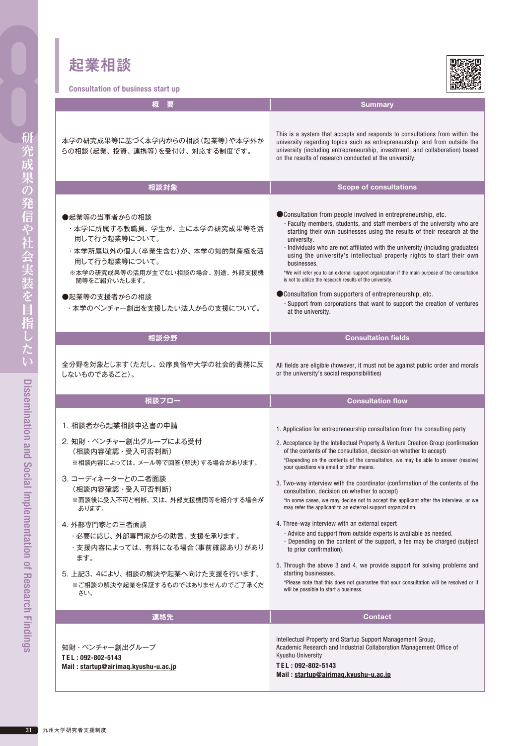### **起業相談**

.<br>Ation of business start un



| GUIISUILALIUII UI DUSIIIBSS SLAIT UP                                                                                                                                                                                  |                                                                                                                                                                                                                                                                                                                                                                                                                                                                                                                                                                                                                                                                                                                                               |
|-----------------------------------------------------------------------------------------------------------------------------------------------------------------------------------------------------------------------|-----------------------------------------------------------------------------------------------------------------------------------------------------------------------------------------------------------------------------------------------------------------------------------------------------------------------------------------------------------------------------------------------------------------------------------------------------------------------------------------------------------------------------------------------------------------------------------------------------------------------------------------------------------------------------------------------------------------------------------------------|
| 梑                                                                                                                                                                                                                     | <b>Summary</b>                                                                                                                                                                                                                                                                                                                                                                                                                                                                                                                                                                                                                                                                                                                                |
| 本学の研究成果等に基づく本学内からの相談(起業等)や本学外か<br>らの相談(起業、投資、連携等)を受付け、対応する制度です。                                                                                                                                                       | This is a system that accepts and responds to consultations from within the<br>university regarding topics such as entrepreneurship, and from outside the<br>university (including entrepreneurship, investment, and collaboration) based<br>on the results of research conducted at the university.                                                                                                                                                                                                                                                                                                                                                                                                                                          |
| 相談対象                                                                                                                                                                                                                  | <b>Scope of consultations</b>                                                                                                                                                                                                                                                                                                                                                                                                                                                                                                                                                                                                                                                                                                                 |
|                                                                                                                                                                                                                       |                                                                                                                                                                                                                                                                                                                                                                                                                                                                                                                                                                                                                                                                                                                                               |
| ●起業等の当事者からの相談<br>・本学に所属する教職員、学生が、主に本学の研究成果等を活<br>用して行う起業等について。<br>・本学所属以外の個人(卒業生含む)が、本学の知的財産権を活<br>用して行う起業等について。<br>※本学の研究成果等の活用が主でない相談の場合、別途、外部支援機<br>関等をご紹介いたします。<br>●起業等の支援者からの相談<br>・本学のベンチャー創出を支援したい法人からの支援について。 | ● Consultation from people involved in entrepreneurship, etc.<br>· Faculty members, students, and staff members of the university who are<br>starting their own businesses using the results of their research at the<br>university.<br>· Individuals who are not affiliated with the university (including graduates)<br>using the university's intellectual property rights to start their own<br>businesses.<br>*We will refer you to an external support organization if the main purpose of the consultation<br>is not to utilize the research results of the university.<br>● Consultation from supporters of entrepreneurship, etc.<br>· Support from corporations that want to support the creation of ventures<br>at the university. |
| 相談分野                                                                                                                                                                                                                  | <b>Consultation fields</b>                                                                                                                                                                                                                                                                                                                                                                                                                                                                                                                                                                                                                                                                                                                    |
|                                                                                                                                                                                                                       |                                                                                                                                                                                                                                                                                                                                                                                                                                                                                                                                                                                                                                                                                                                                               |
| 全分野を対象とします(ただし、公序良俗や大学の社会的責務に反<br>しないものであること)。                                                                                                                                                                        | All fields are eligible (however, it must not be against public order and morals<br>or the university's social responsibilities)                                                                                                                                                                                                                                                                                                                                                                                                                                                                                                                                                                                                              |
| 相談フロー                                                                                                                                                                                                                 | <b>Consultation flow</b>                                                                                                                                                                                                                                                                                                                                                                                                                                                                                                                                                                                                                                                                                                                      |
|                                                                                                                                                                                                                       |                                                                                                                                                                                                                                                                                                                                                                                                                                                                                                                                                                                                                                                                                                                                               |
| 1. 相談者から起業相談申込書の申請                                                                                                                                                                                                    | 1. Application for entrepreneurship consultation from the consulting party                                                                                                                                                                                                                                                                                                                                                                                                                                                                                                                                                                                                                                                                    |
| 2. 知財・ベンチャー創出グループによる受付<br>(相談内容確認・受入可否判断)<br>※相談内容によっては、メール等で回答(解決)する場合があります。                                                                                                                                         | 2. Acceptance by the Intellectual Property & Venture Creation Group (confirmation<br>of the contents of the consultation, decision on whether to accept)<br>*Depending on the contents of the consultation, we may be able to answer (resolve)<br>your questions via email or other means.                                                                                                                                                                                                                                                                                                                                                                                                                                                    |
| 3.コーディネーターとの二者面談<br>(相談内容確認・受入可否判断)<br>※面談後に受入不可と判断、又は、 外部支援機関等を紹介する場合が                                                                                                                                               | 3. Two-way interview with the coordinator (confirmation of the contents of the<br>consultation, decision on whether to accept)<br>*In some cases, we may decide not to accept the applicant after the interview, or we                                                                                                                                                                                                                                                                                                                                                                                                                                                                                                                        |
| あります。                                                                                                                                                                                                                 | may refer the applicant to an external support organization.                                                                                                                                                                                                                                                                                                                                                                                                                                                                                                                                                                                                                                                                                  |
| 4. 外部専門家との三者面談<br>・必要に応じ、外部専門家からの助言、支援を承ります。<br>・支援内容によっては、有料になる場合(事前確認あり)があり<br>ます。                                                                                                                                  | 4. Three-way interview with an external expert<br>. Advice and support from outside experts is available as needed.<br>. Depending on the content of the support, a fee may be charged (subject<br>to prior confirmation).<br>5. Through the above 3 and 4, we provide support for solving problems and                                                                                                                                                                                                                                                                                                                                                                                                                                       |
| 5. 上記3、4により、相談の解決や起業へ向けた支援を行います。<br>※ご相談の解決や起業を保証するものではありませんのでご了承くだ<br>ざい。                                                                                                                                            | starting businesses.<br>*Please note that this does not guarantee that your consultation will be resolved or it<br>will be possible to start a business.                                                                                                                                                                                                                                                                                                                                                                                                                                                                                                                                                                                      |
| 連絡先                                                                                                                                                                                                                   | <b>Contact</b>                                                                                                                                                                                                                                                                                                                                                                                                                                                                                                                                                                                                                                                                                                                                |
| 知財・ベンチャー創出グループ<br>TEL: 092-802-5143<br>Mail: startup@airimag.kyushu-u.ac.jp                                                                                                                                           | Intellectual Property and Startup Support Management Group,<br>Academic Research and Industrial Collaboration Management Office of<br>Kyushu University<br>TEL: 092-802-5143<br>Mail: startup@airimag.kyushu-u.ac.jp                                                                                                                                                                                                                                                                                                                                                                                                                                                                                                                          |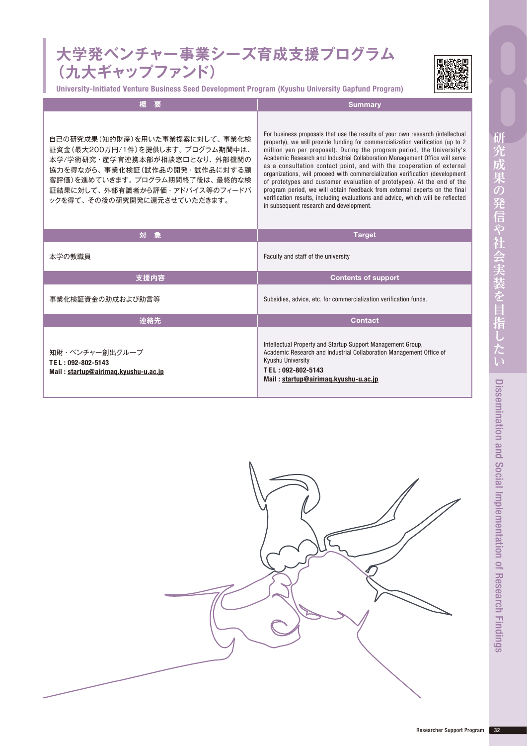#### **大学発ベンチャー事業シーズ育成支援プログラム (九大ギャップファンド)**

University-Initiated Venture Business Seed Development Program (Kyushu University Gapfund Program)



| 概<br>要                                                                                                                                                                                                                                      | <b>Summary</b>                                                                                                                                                                                                                                                                                                                                                                                                                                                                                                                                                                                                                                                                                                                                                            |
|---------------------------------------------------------------------------------------------------------------------------------------------------------------------------------------------------------------------------------------------|---------------------------------------------------------------------------------------------------------------------------------------------------------------------------------------------------------------------------------------------------------------------------------------------------------------------------------------------------------------------------------------------------------------------------------------------------------------------------------------------------------------------------------------------------------------------------------------------------------------------------------------------------------------------------------------------------------------------------------------------------------------------------|
| 自己の研究成果(知的財産)を用いた事業提案に対して、事業化検<br>証資金(最大200万円/1件)を提供します。 プログラム期間中は、<br>本学/学術研究・産学官連携本部が相談窓口となり、 外部機関の<br>協力を得ながら、事業化検証(試作品の開発・試作品に対する顧<br>客評価)を進めていきます。 プログラム期間終了後は、 最終的な検<br>証結果に対して、外部有識者から評価・アドバイス等のフィードバ<br>ックを得て、その後の研究開発に還元させていただきます。 | For business proposals that use the results of your own research (intellectual<br>property), we will provide funding for commercialization verification (up to 2<br>million yen per proposal). During the program period, the University's<br>Academic Research and Industrial Collaboration Management Office will serve<br>as a consultation contact point, and with the cooperation of external<br>organizations, will proceed with commercialization verification (development<br>of prototypes and customer evaluation of prototypes). At the end of the<br>program period, we will obtain feedback from external experts on the final<br>verification results, including evaluations and advice, which will be reflected<br>in subsequent research and development. |
| 対<br>象                                                                                                                                                                                                                                      | <b>Target</b>                                                                                                                                                                                                                                                                                                                                                                                                                                                                                                                                                                                                                                                                                                                                                             |
| 本学の教職員                                                                                                                                                                                                                                      | Faculty and staff of the university                                                                                                                                                                                                                                                                                                                                                                                                                                                                                                                                                                                                                                                                                                                                       |
| 支援内容                                                                                                                                                                                                                                        | <b>Contents of support</b>                                                                                                                                                                                                                                                                                                                                                                                                                                                                                                                                                                                                                                                                                                                                                |
| 事業化検証資金の助成および助言等                                                                                                                                                                                                                            | Subsidies, advice, etc. for commercialization verification funds.                                                                                                                                                                                                                                                                                                                                                                                                                                                                                                                                                                                                                                                                                                         |
| 連絡先                                                                                                                                                                                                                                         | <b>Contact</b>                                                                                                                                                                                                                                                                                                                                                                                                                                                                                                                                                                                                                                                                                                                                                            |
| 知財・ベンチャー創出グループ<br>TEL: 092-802-5143<br>Mail: startup@airimag.kyushu-u.ac.jp                                                                                                                                                                 | Intellectual Property and Startup Support Management Group,<br>Academic Research and Industrial Collaboration Management Office of<br><b>Kyushu University</b><br>TEL: 092-802-5143<br>Mail: startup@airimag.kyushu-u.ac.jp                                                                                                                                                                                                                                                                                                                                                                                                                                                                                                                                               |